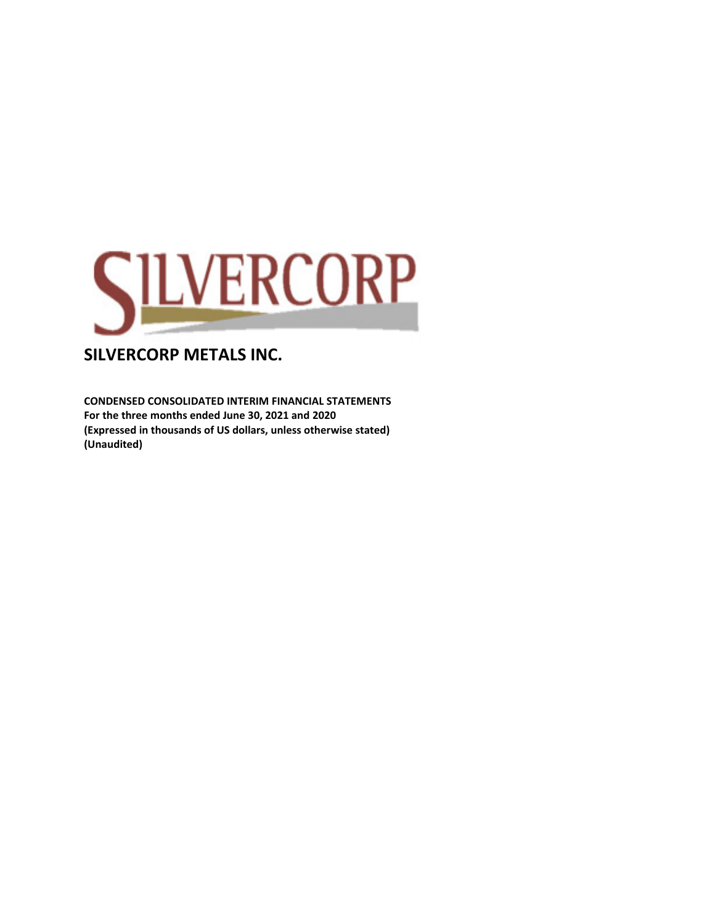

**CONDENSED CONSOLIDATED INTERIM FINANCIAL STATEMENTS For the three months ended June 30, 2021 and 2020 (Expressed in thousands of US dollars, unless otherwise stated) (Unaudited)**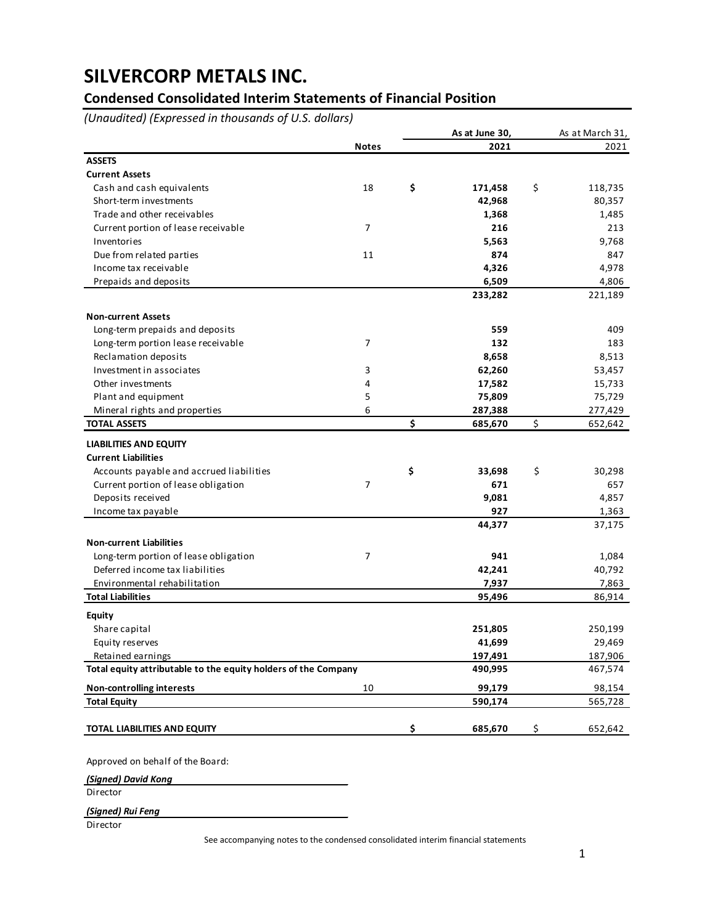## **Condensed Consolidated Interim Statements of Financial Position**

*(Unaudited) (Expressed in thousands of U.S. dollars)*

|                                                                |                | As at June 30, | As at March 31, |
|----------------------------------------------------------------|----------------|----------------|-----------------|
|                                                                | <b>Notes</b>   | 2021           | 2021            |
| <b>ASSETS</b>                                                  |                |                |                 |
| <b>Current Assets</b>                                          |                |                |                 |
| Cash and cash equivalents                                      | 18             | \$<br>171,458  | \$<br>118,735   |
| Short-term investments                                         |                | 42,968         | 80,357          |
| Trade and other receivables                                    |                | 1,368          | 1,485           |
| Current portion of lease receivable                            | 7              | 216            | 213             |
| Inventories                                                    |                | 5,563          | 9,768           |
| Due from related parties                                       | 11             | 874            | 847             |
| Income tax receivable                                          |                | 4,326          | 4,978           |
| Prepaids and deposits                                          |                | 6,509          | 4,806           |
|                                                                |                | 233,282        | 221,189         |
| <b>Non-current Assets</b>                                      |                |                |                 |
| Long-term prepaids and deposits                                |                | 559            | 409             |
| Long-term portion lease receivable                             | 7              | 132            | 183             |
| Reclamation deposits                                           |                | 8,658          | 8,513           |
| Investment in associates                                       | 3              | 62,260         | 53,457          |
| Other investments                                              | 4              | 17,582         | 15,733          |
| Plant and equipment                                            | 5              | 75,809         | 75,729          |
| Mineral rights and properties                                  | 6              | 287,388        | 277,429         |
| <b>TOTAL ASSETS</b>                                            |                | \$<br>685,670  | \$<br>652,642   |
| <b>LIABILITIES AND EQUITY</b>                                  |                |                |                 |
| <b>Current Liabilities</b>                                     |                |                |                 |
| Accounts payable and accrued liabilities                       |                | \$<br>33,698   | \$<br>30,298    |
| Current portion of lease obligation                            | $\overline{7}$ | 671            | 657             |
| Deposits received                                              |                | 9,081          | 4,857           |
| Income tax payable                                             |                | 927            | 1,363           |
|                                                                |                | 44,377         | 37,175          |
| <b>Non-current Liabilities</b>                                 |                |                |                 |
| Long-term portion of lease obligation                          | 7              | 941            | 1,084           |
| Deferred income tax liabilities                                |                | 42,241         | 40,792          |
| Environmental rehabilitation                                   |                | 7,937          | 7,863           |
| <b>Total Liabilities</b>                                       |                | 95,496         | 86,914          |
| <b>Equity</b>                                                  |                |                |                 |
| Share capital                                                  |                | 251,805        | 250,199         |
| Equity reserves                                                |                | 41,699         | 29,469          |
| Retained earnings                                              |                | 197,491        | 187,906         |
| Total equity attributable to the equity holders of the Company |                | 490,995        | 467,574         |
| <b>Non-controlling interests</b>                               | 10             | 99,179         | 98,154          |
| <b>Total Equity</b>                                            |                | 590,174        | 565,728         |
| TOTAL LIABILITIES AND EQUITY                                   |                | \$<br>685,670  | \$<br>652,642   |
|                                                                |                |                |                 |

Approved on behalf of the Board:

*(Signed) David Kong*

Director

*(Signed) Rui Feng*

**Director** 

See accompanying notes to the condensed consolidated interim financial statements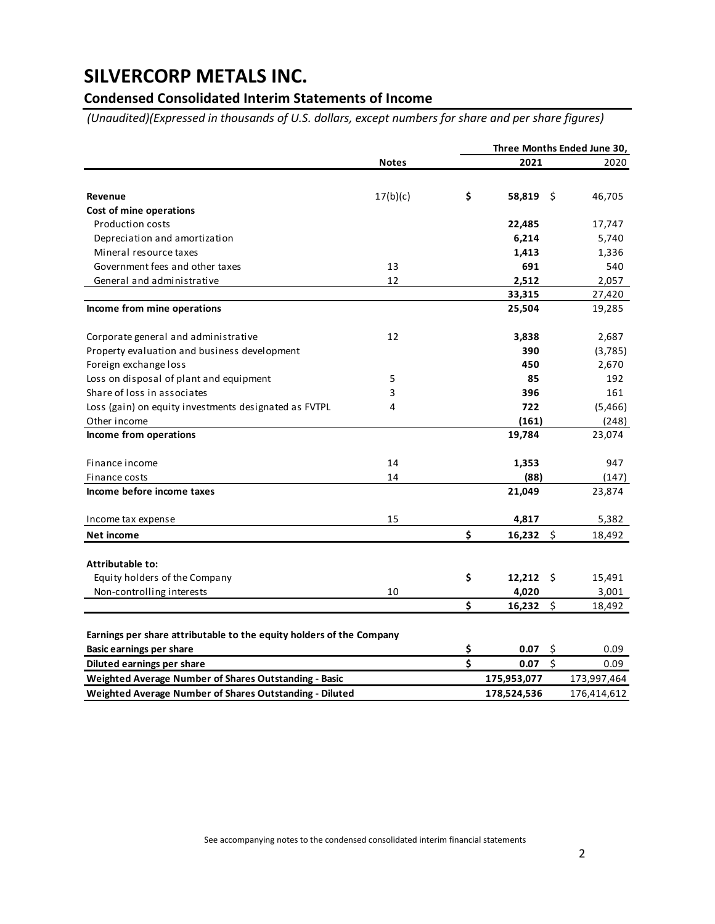## **Condensed Consolidated Interim Statements of Income**

*(Unaudited)(Expressed in thousands of U.S. dollars, except numbers for share and per share figures)*

|                                                                      |              |                         | Three Months Ended June 30,     |  |             |  |  |  |  |  |  |
|----------------------------------------------------------------------|--------------|-------------------------|---------------------------------|--|-------------|--|--|--|--|--|--|
|                                                                      | <b>Notes</b> |                         | 2021                            |  | 2020        |  |  |  |  |  |  |
|                                                                      |              |                         |                                 |  |             |  |  |  |  |  |  |
| Revenue                                                              | 17(b)(c)     | \$                      | 58,819<br>-\$                   |  | 46,705      |  |  |  |  |  |  |
| Cost of mine operations                                              |              |                         |                                 |  |             |  |  |  |  |  |  |
| <b>Production costs</b>                                              |              |                         | 22,485                          |  | 17,747      |  |  |  |  |  |  |
| Depreciation and amortization                                        |              |                         | 6,214                           |  | 5,740       |  |  |  |  |  |  |
| Mineral resource taxes                                               |              |                         | 1,413                           |  | 1,336       |  |  |  |  |  |  |
| Government fees and other taxes                                      | 13           |                         | 691                             |  | 540         |  |  |  |  |  |  |
| General and administrative                                           | 12           |                         | 2,512                           |  | 2,057       |  |  |  |  |  |  |
|                                                                      |              |                         | 33,315                          |  | 27,420      |  |  |  |  |  |  |
| Income from mine operations                                          |              |                         | 25,504                          |  | 19,285      |  |  |  |  |  |  |
| Corporate general and administrative                                 | 12           |                         | 3,838                           |  | 2,687       |  |  |  |  |  |  |
| Property evaluation and business development                         |              |                         | 390                             |  | (3,785)     |  |  |  |  |  |  |
| Foreign exchange loss                                                |              |                         | 450                             |  | 2,670       |  |  |  |  |  |  |
| Loss on disposal of plant and equipment                              | 5            |                         | 85                              |  | 192         |  |  |  |  |  |  |
| Share of loss in associates                                          | 3            |                         | 396                             |  | 161         |  |  |  |  |  |  |
| Loss (gain) on equity investments designated as FVTPL                | 4            |                         | 722                             |  | (5,466)     |  |  |  |  |  |  |
| Other income                                                         |              |                         | (161)                           |  | (248)       |  |  |  |  |  |  |
| Income from operations                                               |              |                         | 19,784                          |  | 23,074      |  |  |  |  |  |  |
| Finance income                                                       | 14           |                         | 1,353                           |  | 947         |  |  |  |  |  |  |
| Finance costs                                                        | 14           |                         | (88)                            |  | (147)       |  |  |  |  |  |  |
| Income before income taxes                                           |              |                         | 21,049                          |  | 23,874      |  |  |  |  |  |  |
| Income tax expense                                                   | 15           |                         | 4,817                           |  | 5,382       |  |  |  |  |  |  |
| Net income                                                           |              | Ś                       | $16,232$ \$                     |  | 18,492      |  |  |  |  |  |  |
| Attributable to:                                                     |              |                         |                                 |  |             |  |  |  |  |  |  |
| Equity holders of the Company                                        |              | \$                      | $12,212$ \$                     |  | 15,491      |  |  |  |  |  |  |
| Non-controlling interests                                            | 10           |                         | 4,020                           |  | 3,001       |  |  |  |  |  |  |
|                                                                      |              | \$                      | \$<br>16,232                    |  | 18,492      |  |  |  |  |  |  |
| Earnings per share attributable to the equity holders of the Company |              |                         |                                 |  |             |  |  |  |  |  |  |
| <b>Basic earnings per share</b>                                      |              | \$                      | 0.07<br>\$                      |  | 0.09        |  |  |  |  |  |  |
| Diluted earnings per share                                           |              | $\overline{\mathsf{s}}$ | $\overline{\mathsf{s}}$<br>0.07 |  | 0.09        |  |  |  |  |  |  |
| Weighted Average Number of Shares Outstanding - Basic                |              |                         | 175,953,077                     |  | 173,997,464 |  |  |  |  |  |  |
| Weighted Average Number of Shares Outstanding - Diluted              |              |                         | 178,524,536                     |  | 176,414,612 |  |  |  |  |  |  |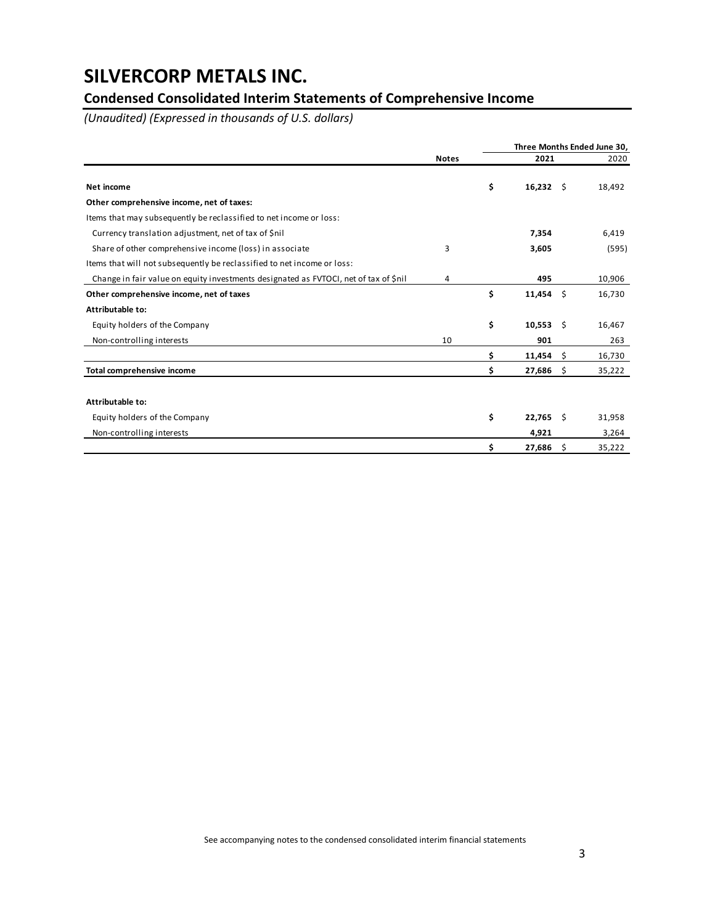## **Condensed Consolidated Interim Statements of Comprehensive Income**

*(Unaudited) (Expressed in thousands of U.S. dollars)*

|                                                                                      |              |    | Three Months Ended June 30, |      |        |  |  |  |
|--------------------------------------------------------------------------------------|--------------|----|-----------------------------|------|--------|--|--|--|
|                                                                                      | <b>Notes</b> |    | 2021                        |      | 2020   |  |  |  |
| Net income                                                                           |              | \$ | $16,232 \quad$ \$           |      | 18,492 |  |  |  |
| Other comprehensive income, net of taxes:                                            |              |    |                             |      |        |  |  |  |
| Items that may subsequently be reclassified to net income or loss:                   |              |    |                             |      |        |  |  |  |
| Currency translation adjustment, net of tax of \$nil                                 |              |    | 7,354                       |      | 6,419  |  |  |  |
| Share of other comprehensive income (loss) in associate                              | 3            |    | 3,605                       |      | (595)  |  |  |  |
| Items that will not subsequently be reclassified to net income or loss:              |              |    |                             |      |        |  |  |  |
| Change in fair value on equity investments designated as FVTOCI, net of tax of \$nil | 4            |    | 495                         |      | 10,906 |  |  |  |
| Other comprehensive income, net of taxes                                             |              | \$ | 11,454                      | Ŝ    | 16,730 |  |  |  |
| Attributable to:                                                                     |              |    |                             |      |        |  |  |  |
| Equity holders of the Company                                                        |              | \$ | 10,553                      | - \$ | 16,467 |  |  |  |
| Non-controlling interests                                                            | 10           |    | 901                         |      | 263    |  |  |  |
|                                                                                      |              | \$ | 11,454                      | \$   | 16,730 |  |  |  |
| Total comprehensive income                                                           |              | Ś  | 27,686                      | \$   | 35,222 |  |  |  |
|                                                                                      |              |    |                             |      |        |  |  |  |
| Attributable to:                                                                     |              |    |                             |      |        |  |  |  |
| Equity holders of the Company                                                        |              | \$ | 22,765                      | -\$  | 31,958 |  |  |  |
| Non-controlling interests                                                            |              |    | 4,921                       |      | 3,264  |  |  |  |
|                                                                                      |              | \$ | 27,686                      | \$   | 35,222 |  |  |  |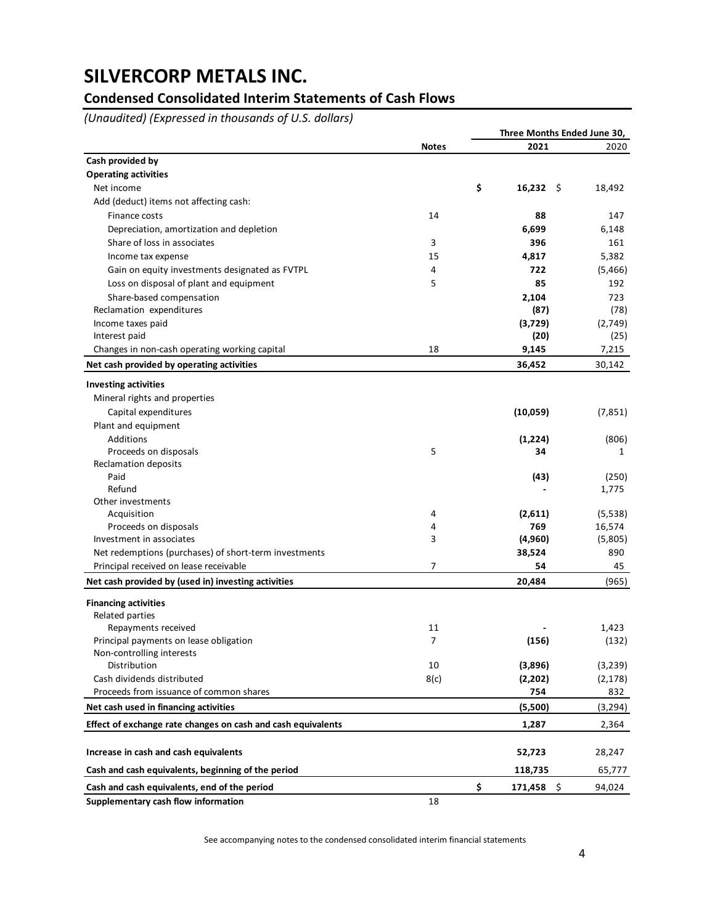## **Condensed Consolidated Interim Statements of Cash Flows**

*(Unaudited) (Expressed in thousands of U.S. dollars)*

|                                                              |                |                   | Three Months Ended June 30, |
|--------------------------------------------------------------|----------------|-------------------|-----------------------------|
|                                                              | <b>Notes</b>   | 2021              | 2020                        |
| Cash provided by                                             |                |                   |                             |
| <b>Operating activities</b>                                  |                |                   |                             |
| Net income                                                   |                | \$<br>$16,232$ \$ | 18,492                      |
| Add (deduct) items not affecting cash:                       |                |                   |                             |
| Finance costs                                                | 14             | 88                | 147                         |
| Depreciation, amortization and depletion                     |                | 6,699             | 6,148                       |
| Share of loss in associates                                  | 3              | 396               | 161                         |
| Income tax expense                                           | 15             | 4,817             | 5,382                       |
| Gain on equity investments designated as FVTPL               | 4              | 722               | (5,466)                     |
| Loss on disposal of plant and equipment                      | 5              | 85                | 192                         |
| Share-based compensation                                     |                | 2,104             | 723                         |
| Reclamation expenditures                                     |                | (87)              | (78)                        |
| Income taxes paid                                            |                | (3,729)           | (2,749)                     |
| Interest paid                                                |                | (20)              | (25)                        |
| Changes in non-cash operating working capital                | 18             | 9,145             | 7,215                       |
| Net cash provided by operating activities                    |                | 36,452            | 30,142                      |
|                                                              |                |                   |                             |
| <b>Investing activities</b>                                  |                |                   |                             |
| Mineral rights and properties                                |                |                   |                             |
| Capital expenditures                                         |                | (10, 059)         | (7, 851)                    |
| Plant and equipment                                          |                |                   |                             |
| Additions                                                    |                | (1, 224)          | (806)                       |
| Proceeds on disposals                                        | 5              | 34                | 1                           |
| Reclamation deposits                                         |                |                   |                             |
| Paid                                                         |                | (43)              | (250)                       |
| Refund                                                       |                |                   | 1,775                       |
| Other investments                                            | 4              |                   | (5,538)                     |
| Acquisition<br>Proceeds on disposals                         | 4              | (2,611)<br>769    | 16,574                      |
| Investment in associates                                     | 3              | (4,960)           | (5,805)                     |
| Net redemptions (purchases) of short-term investments        |                | 38,524            | 890                         |
| Principal received on lease receivable                       | 7              | 54                |                             |
|                                                              |                |                   | 45                          |
| Net cash provided by (used in) investing activities          |                | 20,484            | (965)                       |
| <b>Financing activities</b>                                  |                |                   |                             |
| Related parties                                              |                |                   |                             |
| Repayments received                                          | 11             |                   | 1,423                       |
| Principal payments on lease obligation                       | $\overline{7}$ | (156)             | (132)                       |
| Non-controlling interests                                    |                |                   |                             |
| Distribution                                                 | 10             | (3,896)           | (3, 239)                    |
| Cash dividends distributed                                   | 8(c)           | (2,202)           | (2, 178)                    |
| Proceeds from issuance of common shares                      |                | 754               | 832                         |
| Net cash used in financing activities                        |                | (5,500)           | (3, 294)                    |
| Effect of exchange rate changes on cash and cash equivalents |                | 1,287             | 2,364                       |
| Increase in cash and cash equivalents                        |                | 52,723            | 28,247                      |
| Cash and cash equivalents, beginning of the period           |                | 118,735           | 65,777                      |
| Cash and cash equivalents, end of the period                 |                | \$<br>171,458 \$  | 94,024                      |
| Supplementary cash flow information                          | 18             |                   |                             |
|                                                              |                |                   |                             |

See accompanying notes to the condensed consolidated interim financial statements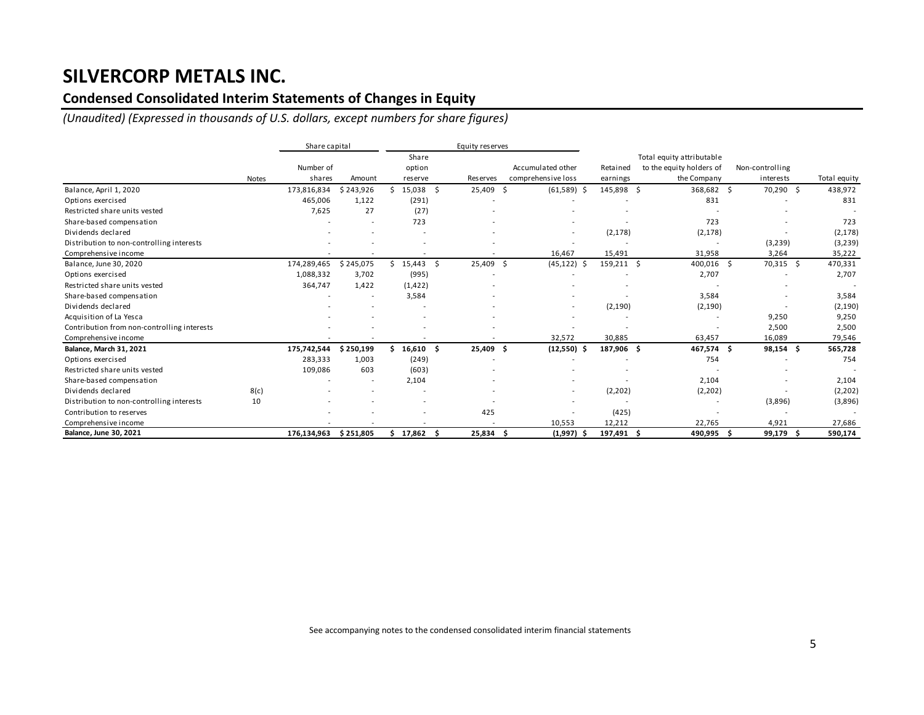## **Condensed Consolidated Interim Statements of Changes in Equity**

*(Unaudited) (Expressed in thousands of U.S. dollars, except numbers for share figures)*

|                                             |       | Share capital |           |          |    | Equity reserves |     |                    |            |                           |                 |             |              |
|---------------------------------------------|-------|---------------|-----------|----------|----|-----------------|-----|--------------------|------------|---------------------------|-----------------|-------------|--------------|
|                                             |       |               |           | Share    |    |                 |     |                    |            | Total equity attributable |                 |             |              |
|                                             |       | Number of     |           | option   |    |                 |     | Accumulated other  | Retained   | to the equity holders of  | Non-controlling |             |              |
|                                             | Notes | shares        | Amount    | reserve  |    | Reserves        |     | comprehensive loss | earnings   | the Company               | interests       |             | Total equity |
| Balance, April 1, 2020                      |       | 173,816,834   | \$243,926 | 15,038   | Ś  | 25,409          | -\$ | $(61,589)$ \$      | 145,898 \$ | 368,682                   | -\$             | 70,290 \$   | 438,972      |
| Options exercised                           |       | 465,006       | 1,122     | (291)    |    |                 |     |                    |            | 831                       |                 |             | 831          |
| Restricted share units vested               |       | 7,625         | 27        | (27)     |    |                 |     |                    |            |                           |                 |             |              |
| Share-based compensation                    |       |               |           | 723      |    |                 |     |                    |            | 723                       |                 |             | 723          |
| Dividends declared                          |       |               |           |          |    |                 |     |                    | (2, 178)   | (2, 178)                  |                 |             | (2, 178)     |
| Distribution to non-controlling interests   |       |               |           |          |    |                 |     |                    |            |                           | (3, 239)        |             | (3, 239)     |
| Comprehensive income                        |       |               |           |          |    |                 |     | 16,467             | 15,491     | 31,958                    | 3,264           |             | 35,222       |
| Balance, June 30, 2020                      |       | 174,289,465   | \$245,075 | \$15,443 | Ŝ. | 25,409          | -Ś  | (45, 122)          | 159,211 \$ | 400,016 \$                |                 | 70,315 \$   | 470,331      |
| Options exercised                           |       | 1,088,332     | 3,702     | (995)    |    |                 |     |                    |            | 2,707                     |                 |             | 2,707        |
| Restricted share units vested               |       | 364,747       | 1,422     | (1, 422) |    |                 |     |                    |            |                           |                 |             |              |
| Share-based compensation                    |       |               |           | 3,584    |    |                 |     |                    |            | 3,584                     |                 |             | 3,584        |
| Dividends declared                          |       |               |           |          |    |                 |     |                    | (2, 190)   | (2, 190)                  |                 |             | (2, 190)     |
| Acquisition of La Yesca                     |       |               |           |          |    |                 |     |                    |            |                           | 9,250           |             | 9,250        |
| Contribution from non-controlling interests |       |               |           |          |    |                 |     |                    |            |                           | 2,500           |             | 2,500        |
| Comprehensive income                        |       |               |           |          |    |                 |     | 32,572             | 30,885     | 63,457                    | 16,089          |             | 79,546       |
| Balance, March 31, 2021                     |       | 175,742,544   | \$250,199 | 16,610   | Ŝ  | 25,409          | - Ś | $(12,550)$ \$      | 187,906 \$ | 467,574                   | Ŝ.              | $98,154$ \$ | 565,728      |
| Options exercised                           |       | 283,333       | 1,003     | (249)    |    |                 |     |                    |            | 754                       |                 |             | 754          |
| Restricted share units vested               |       | 109,086       | 603       | (603)    |    |                 |     |                    |            |                           |                 |             |              |
| Share-based compensation                    |       |               |           | 2,104    |    |                 |     |                    |            | 2,104                     |                 |             | 2,104        |
| Dividends declared                          | 8(c)  |               |           |          |    |                 |     |                    | (2,202)    | (2, 202)                  |                 |             | (2,202)      |
| Distribution to non-controlling interests   | 10    |               |           |          |    |                 |     |                    |            |                           | (3,896)         |             | (3,896)      |
| Contribution to reserves                    |       |               |           |          |    | 425             |     |                    | (425)      |                           |                 |             |              |
| Comprehensive income                        |       |               |           |          |    |                 |     | 10,553             | 12,212     | 22,765                    | 4,921           |             | 27,686       |
| <b>Balance, June 30, 2021</b>               |       | 176,134,963   | \$251,805 | \$17,862 |    | 25,834          |     | $(1,997)$ \$       | 197,491 \$ | 490,995                   |                 | 99,179 \$   | 590,174      |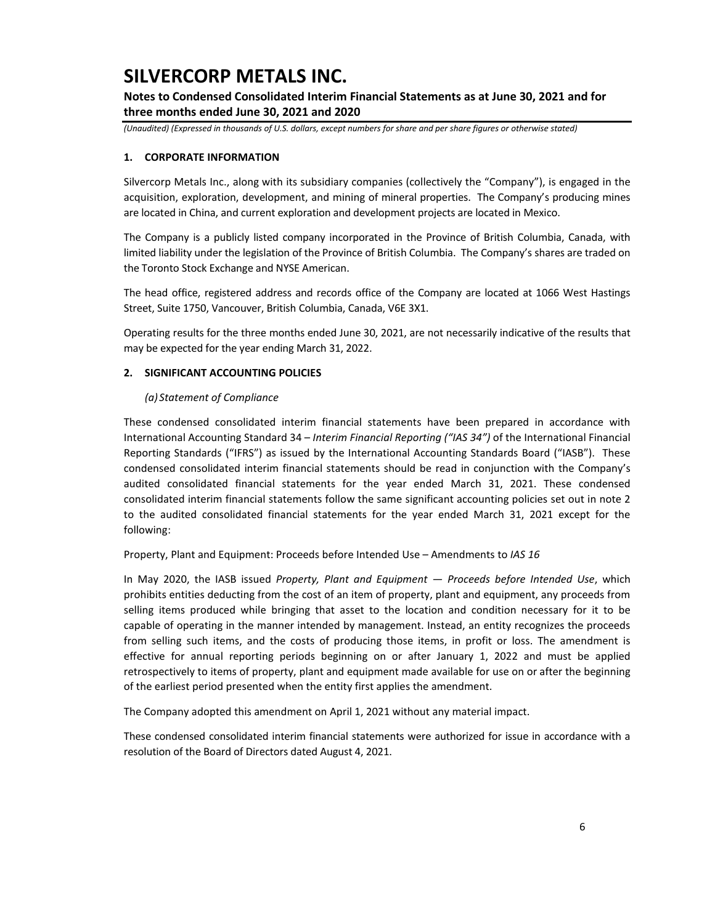## **Notes to Condensed Consolidated Interim Financial Statements as at June 30, 2021 and for three months ended June 30, 2021 and 2020**

*(Unaudited) (Expressed in thousands of U.S. dollars, except numbers for share and per share figures or otherwise stated)*

### **1. CORPORATE INFORMATION**

Silvercorp Metals Inc., along with its subsidiary companies (collectively the "Company"), is engaged in the acquisition, exploration, development, and mining of mineral properties. The Company's producing mines are located in China, and current exploration and development projects are located in Mexico.

The Company is a publicly listed company incorporated in the Province of British Columbia, Canada, with limited liability under the legislation of the Province of British Columbia. The Company's shares are traded on the Toronto Stock Exchange and NYSE American.

The head office, registered address and records office of the Company are located at 1066 West Hastings Street, Suite 1750, Vancouver, British Columbia, Canada, V6E 3X1.

Operating results for the three months ended June 30, 2021, are not necessarily indicative of the results that may be expected for the year ending March 31, 2022.

### **2. SIGNIFICANT ACCOUNTING POLICIES**

#### *(a) Statement of Compliance*

These condensed consolidated interim financial statements have been prepared in accordance with International Accounting Standard 34 – *Interim Financial Reporting ("IAS 34")* of the International Financial Reporting Standards ("IFRS") as issued by the International Accounting Standards Board ("IASB"). These condensed consolidated interim financial statements should be read in conjunction with the Company's audited consolidated financial statements for the year ended March 31, 2021. These condensed consolidated interim financial statements follow the same significant accounting policies set out in note 2 to the audited consolidated financial statements for the year ended March 31, 2021 except for the following:

Property, Plant and Equipment: Proceeds before Intended Use – Amendments to *IAS 16*

In May 2020, the IASB issued *Property, Plant and Equipment — Proceeds before Intended Use*, which prohibits entities deducting from the cost of an item of property, plant and equipment, any proceeds from selling items produced while bringing that asset to the location and condition necessary for it to be capable of operating in the manner intended by management. Instead, an entity recognizes the proceeds from selling such items, and the costs of producing those items, in profit or loss. The amendment is effective for annual reporting periods beginning on or after January 1, 2022 and must be applied retrospectively to items of property, plant and equipment made available for use on or after the beginning of the earliest period presented when the entity first applies the amendment.

The Company adopted this amendment on April 1, 2021 without any material impact.

These condensed consolidated interim financial statements were authorized for issue in accordance with a resolution of the Board of Directors dated August 4, 2021.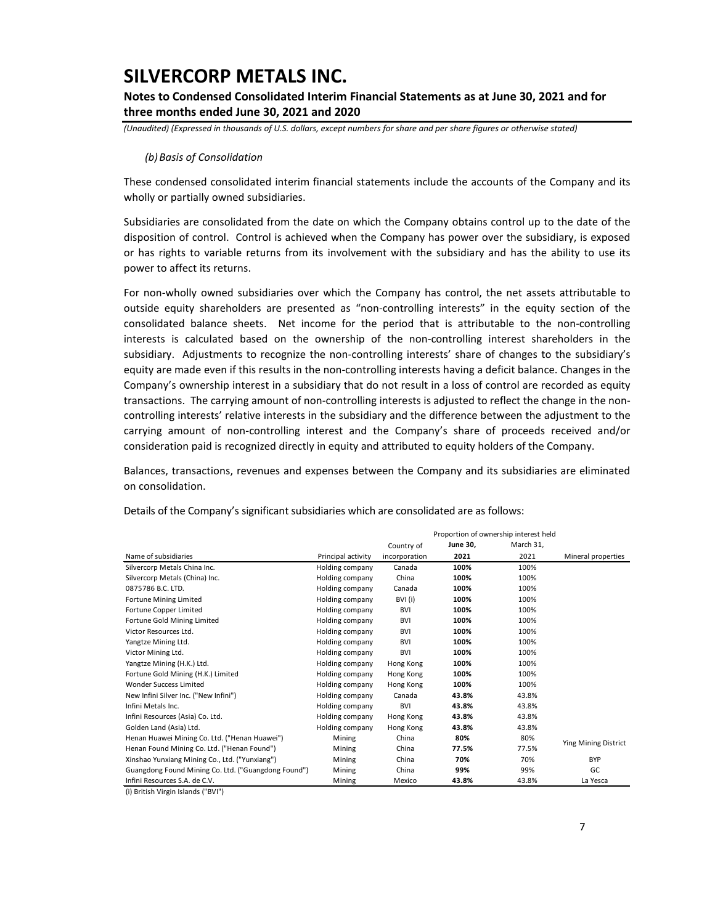### **Notes to Condensed Consolidated Interim Financial Statements as at June 30, 2021 and for three months ended June 30, 2021 and 2020**

*(Unaudited) (Expressed in thousands of U.S. dollars, except numbers for share and per share figures or otherwise stated)*

#### *(b)Basis of Consolidation*

These condensed consolidated interim financial statements include the accounts of the Company and its wholly or partially owned subsidiaries.

Subsidiaries are consolidated from the date on which the Company obtains control up to the date of the disposition of control. Control is achieved when the Company has power over the subsidiary, is exposed or has rights to variable returns from its involvement with the subsidiary and has the ability to use its power to affect its returns.

For non-wholly owned subsidiaries over which the Company has control, the net assets attributable to outside equity shareholders are presented as "non-controlling interests" in the equity section of the consolidated balance sheets. Net income for the period that is attributable to the non-controlling interests is calculated based on the ownership of the non-controlling interest shareholders in the subsidiary. Adjustments to recognize the non-controlling interests' share of changes to the subsidiary's equity are made even if this results in the non-controlling interests having a deficit balance. Changes in the Company's ownership interest in a subsidiary that do not result in a loss of control are recorded as equity transactions. The carrying amount of non-controlling interests is adjusted to reflect the change in the noncontrolling interests' relative interests in the subsidiary and the difference between the adjustment to the carrying amount of non-controlling interest and the Company's share of proceeds received and/or consideration paid is recognized directly in equity and attributed to equity holders of the Company.

Balances, transactions, revenues and expenses between the Company and its subsidiaries are eliminated on consolidation.

|                                                     |                    | Proportion of ownership interest held |                 |           |                      |
|-----------------------------------------------------|--------------------|---------------------------------------|-----------------|-----------|----------------------|
|                                                     |                    | Country of                            | <b>June 30,</b> | March 31, |                      |
| Name of subsidiaries                                | Principal activity | incorporation                         | 2021            | 2021      | Mineral properties   |
| Silvercorp Metals China Inc.                        | Holding company    | Canada                                | 100%            | 100%      |                      |
| Silvercorp Metals (China) Inc.                      | Holding company    | China                                 | 100%            | 100%      |                      |
| 0875786 B.C. LTD.                                   | Holding company    | Canada                                | 100%            | 100%      |                      |
| Fortune Mining Limited                              | Holding company    | BVI (i)                               | 100%            | 100%      |                      |
| Fortune Copper Limited                              | Holding company    | <b>BVI</b>                            | 100%            | 100%      |                      |
| Fortune Gold Mining Limited                         | Holding company    | <b>BVI</b>                            | 100%            | 100%      |                      |
| Victor Resources Ltd.                               | Holding company    | <b>BVI</b>                            | 100%            | 100%      |                      |
| Yangtze Mining Ltd.                                 | Holding company    | <b>BVI</b>                            | 100%            | 100%      |                      |
| Victor Mining Ltd.                                  | Holding company    | <b>BVI</b>                            | 100%            | 100%      |                      |
| Yangtze Mining (H.K.) Ltd.                          | Holding company    | Hong Kong                             | 100%            | 100%      |                      |
| Fortune Gold Mining (H.K.) Limited                  | Holding company    | Hong Kong                             | 100%            | 100%      |                      |
| Wonder Success Limited                              | Holding company    | Hong Kong                             | 100%            | 100%      |                      |
| New Infini Silver Inc. ("New Infini")               | Holding company    | Canada                                | 43.8%           | 43.8%     |                      |
| Infini Metals Inc.                                  | Holding company    | <b>BVI</b>                            | 43.8%           | 43.8%     |                      |
| Infini Resources (Asia) Co. Ltd.                    | Holding company    | Hong Kong                             | 43.8%           | 43.8%     |                      |
| Golden Land (Asia) Ltd.                             | Holding company    | Hong Kong                             | 43.8%           | 43.8%     |                      |
| Henan Huawei Mining Co. Ltd. ("Henan Huawei")       | Mining             | China                                 | 80%             | 80%       | Ying Mining District |
| Henan Found Mining Co. Ltd. ("Henan Found")         | Mining             | China                                 | 77.5%           | 77.5%     |                      |
| Xinshao Yunxiang Mining Co., Ltd. ("Yunxiang")      | Mining             | China                                 | 70%             | 70%       | <b>BYP</b>           |
| Guangdong Found Mining Co. Ltd. ("Guangdong Found") | Mining             | China                                 | 99%             | 99%       | GC                   |
| Infini Resources S.A. de C.V.                       | Mining             | Mexico                                | 43.8%           | 43.8%     | La Yesca             |

Details of the Company's significant subsidiaries which are consolidated are as follows:

(i) British Virgin Islands ("BVI")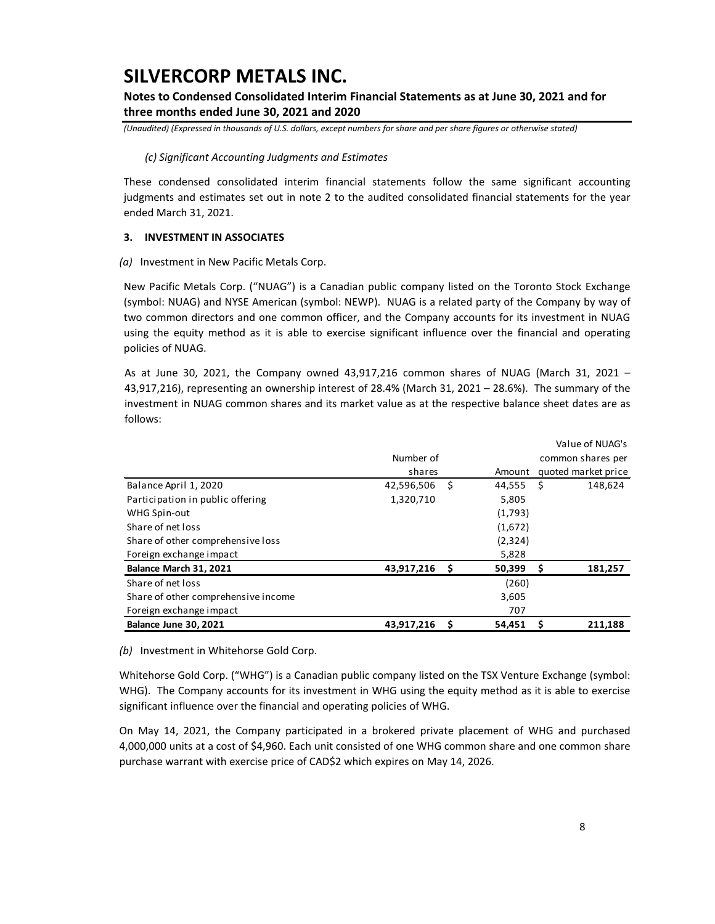## **Notes to Condensed Consolidated Interim Financial Statements as at June 30, 2021 and for three months ended June 30, 2021 and 2020**

*(Unaudited) (Expressed in thousands of U.S. dollars, except numbers for share and per share figures or otherwise stated)*

### *(c) Significant Accounting Judgments and Estimates*

These condensed consolidated interim financial statements follow the same significant accounting judgments and estimates set out in note 2 to the audited consolidated financial statements for the year ended March 31, 2021.

### **3. INVESTMENT IN ASSOCIATES**

### *(a)* Investment in New Pacific Metals Corp.

New Pacific Metals Corp. ("NUAG") is a Canadian public company listed on the Toronto Stock Exchange (symbol: NUAG) and NYSE American (symbol: NEWP). NUAG is a related party of the Company by way of two common directors and one common officer, and the Company accounts for its investment in NUAG using the equity method as it is able to exercise significant influence over the financial and operating policies of NUAG.

As at June 30, 2021, the Company owned 43,917,216 common shares of NUAG (March 31, 2021 – 43,917,216), representing an ownership interest of 28.4% (March 31, 2021 – 28.6%). The summary of the investment in NUAG common shares and its market value as at the respective balance sheet dates are as follows:

|                                     |            |      |          |                   | Value of NUAG's     |  |  |
|-------------------------------------|------------|------|----------|-------------------|---------------------|--|--|
|                                     | Number of  |      |          | common shares per |                     |  |  |
|                                     | shares     |      | Amount   |                   | quoted market price |  |  |
| Balance April 1, 2020               | 42,596,506 | \$.  | 44,555   | Ŝ                 | 148,624             |  |  |
| Participation in public offering    | 1,320,710  |      | 5,805    |                   |                     |  |  |
| WHG Spin-out                        |            |      | (1,793)  |                   |                     |  |  |
| Share of net loss                   |            |      | (1,672)  |                   |                     |  |  |
| Share of other comprehensive loss   |            |      | (2, 324) |                   |                     |  |  |
| Foreign exchange impact             |            |      | 5,828    |                   |                     |  |  |
| Balance March 31, 2021              | 43,917,216 | - \$ | 50,399   | \$                | 181,257             |  |  |
| Share of net loss                   |            |      | (260)    |                   |                     |  |  |
| Share of other comprehensive income |            |      | 3,605    |                   |                     |  |  |
| Foreign exchange impact             |            |      | 707      |                   |                     |  |  |
| <b>Balance June 30, 2021</b>        | 43,917,216 | \$.  | 54,451   | S                 | 211.188             |  |  |

*(b)* Investment in Whitehorse Gold Corp.

Whitehorse Gold Corp. ("WHG") is a Canadian public company listed on the TSX Venture Exchange (symbol: WHG). The Company accounts for its investment in WHG using the equity method as it is able to exercise significant influence over the financial and operating policies of WHG.

On May 14, 2021, the Company participated in a brokered private placement of WHG and purchased 4,000,000 units at a cost of \$4,960. Each unit consisted of one WHG common share and one common share purchase warrant with exercise price of CAD\$2 which expires on May 14, 2026.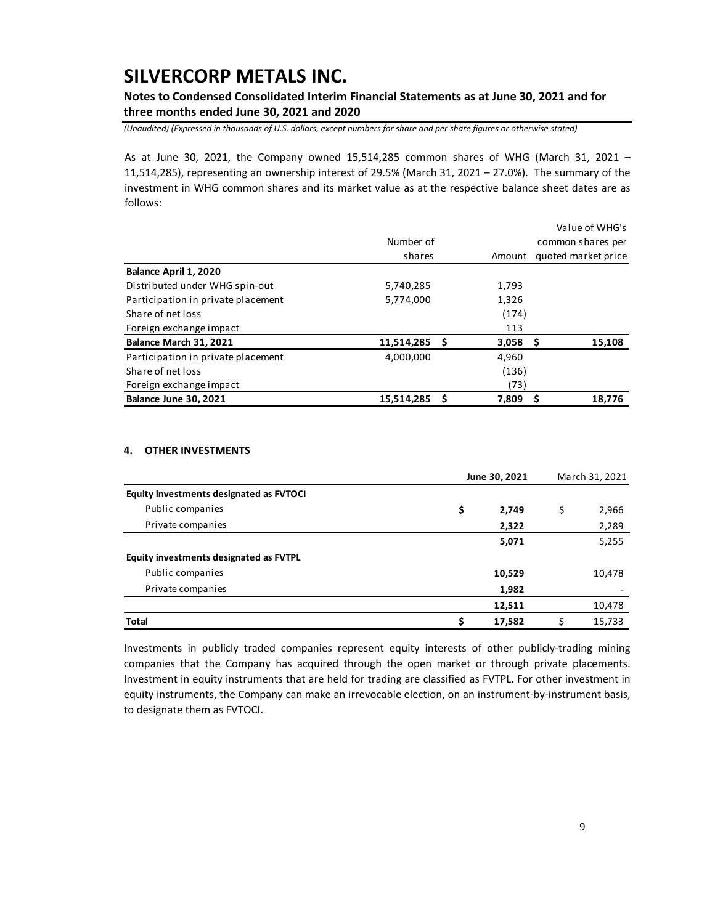## **Notes to Condensed Consolidated Interim Financial Statements as at June 30, 2021 and for three months ended June 30, 2021 and 2020**

*(Unaudited) (Expressed in thousands of U.S. dollars, except numbers for share and per share figures or otherwise stated)*

As at June 30, 2021, the Company owned 15,514,285 common shares of WHG (March 31, 2021 – 11,514,285), representing an ownership interest of 29.5% (March 31, 2021 – 27.0%). The summary of the investment in WHG common shares and its market value as at the respective balance sheet dates are as follows:

|                                    |            |   |                   | Value of WHG's |                     |  |  |
|------------------------------------|------------|---|-------------------|----------------|---------------------|--|--|
|                                    | Number of  |   | common shares per |                |                     |  |  |
|                                    | shares     |   | Amount            |                | quoted market price |  |  |
| Balance April 1, 2020              |            |   |                   |                |                     |  |  |
| Distributed under WHG spin-out     | 5,740,285  |   | 1,793             |                |                     |  |  |
| Participation in private placement | 5,774,000  |   | 1,326             |                |                     |  |  |
| Share of net loss                  |            |   | (174)             |                |                     |  |  |
| Foreign exchange impact            |            |   | 113               |                |                     |  |  |
| Balance March 31, 2021             | 11,514,285 |   | $3,058$ \$        |                | 15,108              |  |  |
| Participation in private placement | 4,000,000  |   | 4,960             |                |                     |  |  |
| Share of net loss                  |            |   | (136)             |                |                     |  |  |
| Foreign exchange impact            |            |   | (73)              |                |                     |  |  |
| <b>Balance June 30, 2021</b>       | 15,514,285 | S | 7,809             |                | 18,776              |  |  |

### **4. OTHER INVESTMENTS**

|                                         | June 30, 2021 | March 31, 2021 |
|-----------------------------------------|---------------|----------------|
| Equity investments designated as FVTOCI |               |                |
| Public companies                        | \$<br>2,749   | \$<br>2,966    |
| Private companies                       | 2,322         | 2,289          |
|                                         | 5,071         | 5,255          |
| Equity investments designated as FVTPL  |               |                |
| Public companies                        | 10,529        | 10,478         |
| Private companies                       | 1,982         |                |
|                                         | 12,511        | 10,478         |
| Total                                   | \$<br>17,582  | 15,733         |

Investments in publicly traded companies represent equity interests of other publicly-trading mining companies that the Company has acquired through the open market or through private placements. Investment in equity instruments that are held for trading are classified as FVTPL. For other investment in equity instruments, the Company can make an irrevocable election, on an instrument-by-instrument basis, to designate them as FVTOCI.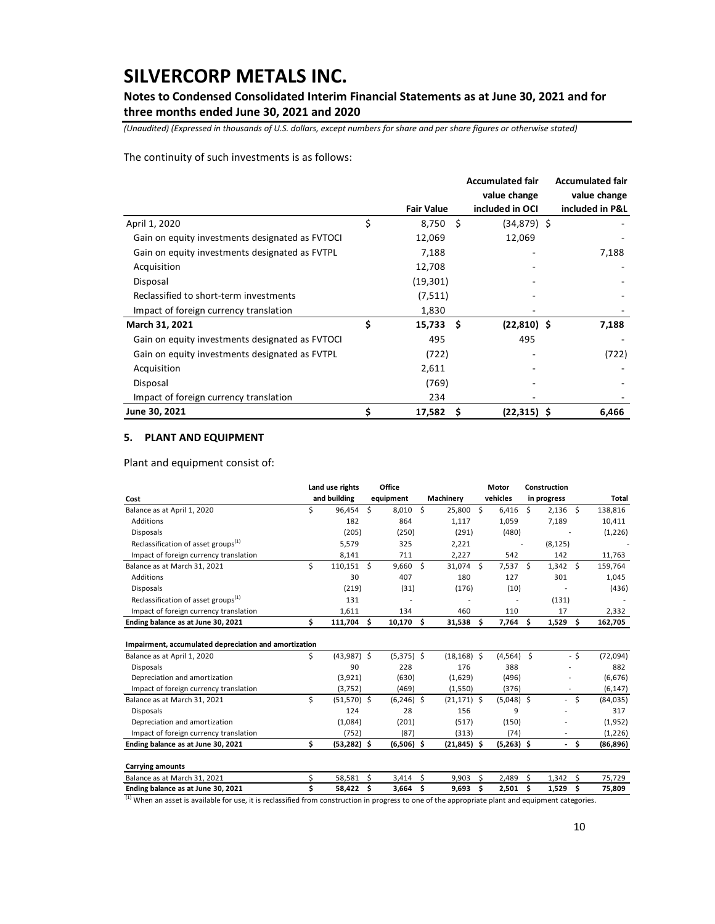## **Notes to Condensed Consolidated Interim Financial Statements as at June 30, 2021 and for three months ended June 30, 2021 and 2020**

*(Unaudited) (Expressed in thousands of U.S. dollars, except numbers for share and per share figures or otherwise stated)*

The continuity of such investments is as follows:

|                                                 |                   |      | <b>Accumulated fair</b> | <b>Accumulated fair</b> |
|-------------------------------------------------|-------------------|------|-------------------------|-------------------------|
|                                                 |                   |      | value change            | value change            |
|                                                 | <b>Fair Value</b> |      | included in OCI         | included in P&L         |
| April 1, 2020                                   | \$<br>8,750       | Ŝ.   | $(34,879)$ \$           |                         |
| Gain on equity investments designated as FVTOCI | 12,069            |      | 12,069                  |                         |
| Gain on equity investments designated as FVTPL  | 7,188             |      |                         | 7,188                   |
| Acquisition                                     | 12,708            |      |                         |                         |
| Disposal                                        | (19, 301)         |      |                         |                         |
| Reclassified to short-term investments          | (7, 511)          |      |                         |                         |
| Impact of foreign currency translation          | 1,830             |      |                         |                         |
| March 31, 2021                                  | \$<br>15,733      | - \$ | $(22,810)$ \$           | 7,188                   |
| Gain on equity investments designated as FVTOCI | 495               |      | 495                     |                         |
| Gain on equity investments designated as FVTPL  | (722)             |      |                         | (722)                   |
| Acquisition                                     | 2,611             |      |                         |                         |
| Disposal                                        | (769)             |      |                         |                         |
| Impact of foreign currency translation          | 234               |      |                         |                         |
| June 30, 2021                                   | \$<br>17,582      | S    | $(22,315)$ \$           | 6,466                   |

### **5. PLANT AND EQUIPMENT**

Plant and equipment consist of:

|                                                       |    | Land use rights |     | Office       |      |                |    | Motor          |     | Construction             |      |           |
|-------------------------------------------------------|----|-----------------|-----|--------------|------|----------------|----|----------------|-----|--------------------------|------|-----------|
| Cost                                                  |    | and building    |     | equipment    |      | Machinery      |    | vehicles       |     | in progress              |      | Total     |
| Balance as at April 1, 2020                           | \$ | 96,454          | Ś.  | 8,010        | - \$ | 25,800         | \$ | 6,416          | Ŝ.  | $2,136$ \$               |      | 138,816   |
| Additions                                             |    | 182             |     | 864          |      | 1,117          |    | 1,059          |     | 7,189                    |      | 10,411    |
| <b>Disposals</b>                                      |    | (205)           |     | (250)        |      | (291)          |    | (480)          |     |                          |      | (1,226)   |
| Reclassification of asset groups <sup>(1)</sup>       |    | 5,579           |     | 325          |      | 2,221          |    | $\overline{a}$ |     | (8, 125)                 |      |           |
| Impact of foreign currency translation                |    | 8,141           |     | 711          |      | 2,227          |    | 542            |     | 142                      |      | 11,763    |
| Balance as at March 31, 2021                          | \$ | 110,151         | S.  | $9,660$ \$   |      | 31,074 \$      |    | $7,537$ \$     |     | $1,342 \quad$ \$         |      | 159,764   |
| Additions                                             |    | 30              |     | 407          |      | 180            |    | 127            |     | 301                      |      | 1,045     |
| <b>Disposals</b>                                      |    | (219)           |     | (31)         |      | (176)          |    | (10)           |     |                          |      | (436)     |
| Reclassification of asset groups <sup>(1)</sup>       |    | 131             |     |              |      |                |    |                |     | (131)                    |      |           |
| Impact of foreign currency translation                |    | 1,611           |     | 134          |      | 460            |    | 110            |     | 17                       |      | 2,332     |
| Ending balance as at June 30, 2021                    | \$ | 111,704         | Ŝ.  | 10,170       | \$.  | 31,538         | Ŝ. | 7,764          | −\$ | 1,529                    | - \$ | 162,705   |
| Impairment, accumulated depreciation and amortization |    |                 |     |              |      |                |    |                |     |                          |      |           |
| Balance as at April 1, 2020                           | \$ | $(43,987)$ \$   |     | $(5,375)$ \$ |      | $(18, 168)$ \$ |    | $(4,564)$ \$   |     |                          | $-5$ | (72,094)  |
| <b>Disposals</b>                                      |    | 90              |     | 228          |      | 176            |    | 388            |     |                          |      | 882       |
| Depreciation and amortization                         |    | (3,921)         |     | (630)        |      | (1,629)        |    | (496)          |     |                          |      | (6,676)   |
| Impact of foreign currency translation                |    | (3,752)         |     | (469)        |      | (1,550)        |    | (376)          |     |                          |      | (6, 147)  |
| Balance as at March 31, 2021                          | \$ | $(51,570)$ \$   |     | $(6,246)$ \$ |      | $(21, 171)$ \$ |    | $(5,048)$ \$   |     | $\overline{a}$           | Ś.   | (84,035)  |
| <b>Disposals</b>                                      |    | 124             |     | 28           |      | 156            |    | 9              |     |                          |      | 317       |
| Depreciation and amortization                         |    | (1,084)         |     | (201)        |      | (517)          |    | (150)          |     |                          |      | (1,952)   |
| Impact of foreign currency translation                |    | (752)           |     | (87)         |      | (313)          |    | (74)           |     |                          |      | (1,226)   |
| Ending balance as at June 30, 2021                    | \$ | $(53,282)$ \$   |     | $(6,506)$ \$ |      | $(21, 845)$ \$ |    | $(5,263)$ \$   |     | $\overline{\phantom{a}}$ | -\$  | (86, 896) |
| <b>Carrying amounts</b>                               |    |                 |     |              |      |                |    |                |     |                          |      |           |
| Balance as at March 31, 2021                          | \$ | 58,581          | Ŝ.  | 3,414        | Ś    | 9,903          | Ś. | 2,489          | Ś.  | 1,342                    | - \$ | 75,729    |
| Ending balance as at June 30, 2021                    | Ś  | 58,422          | \$. | 3,664        | \$   | 9,693          | \$ | 2,501          | \$  | 1,529                    | -\$  | 75,809    |

 $(1)$  When an asset is available for use, it is reclassified from construction in progress to one of the appropriate plant and equipment categories.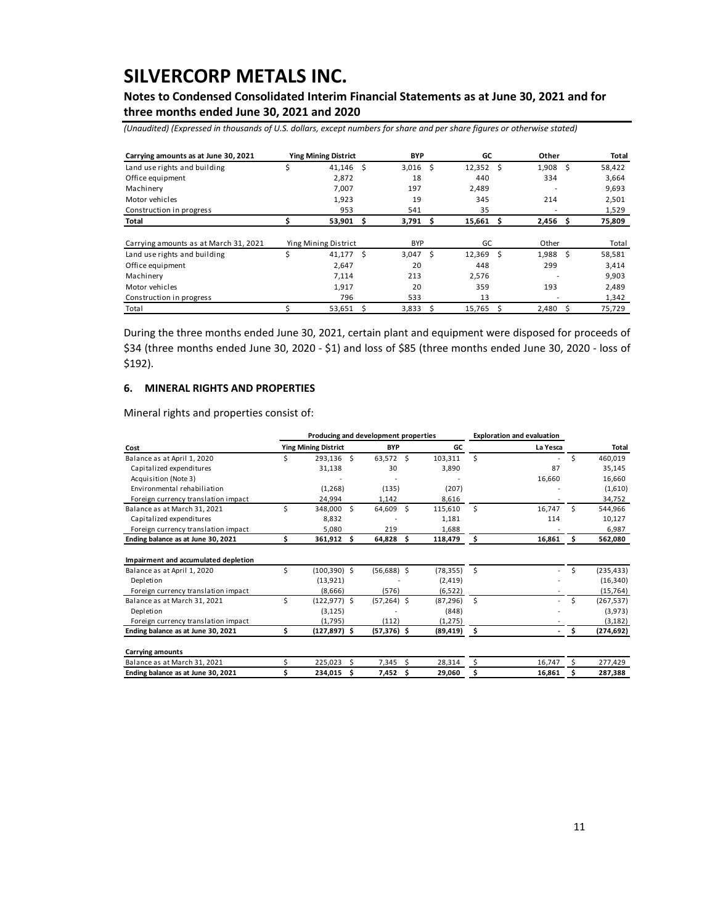## **Notes to Condensed Consolidated Interim Financial Statements as at June 30, 2021 and for three months ended June 30, 2021 and 2020**

*(Unaudited) (Expressed in thousands of U.S. dollars, except numbers for share and per share figures or otherwise stated)*

| Carrying amounts as at June 30, 2021  |    | <b>Ying Mining District</b> |    | <b>BYP</b> |   | GC     |     | Other |   | Total  |
|---------------------------------------|----|-----------------------------|----|------------|---|--------|-----|-------|---|--------|
| Land use rights and building          | \$ | 41,146                      | Ŝ. | 3,016      | Ŝ | 12,352 | - Ś | 1,908 | Ŝ | 58,422 |
| Office equipment                      |    | 2,872                       |    | 18         |   | 440    |     | 334   |   | 3,664  |
| Machinery                             |    | 7,007                       |    | 197        |   | 2,489  |     |       |   | 9,693  |
| Motor vehicles                        |    | 1,923                       |    | 19         |   | 345    |     | 214   |   | 2,501  |
| Construction in progress              |    | 953                         |    | 541        |   | 35     |     |       |   | 1,529  |
| Total                                 |    | 53,901                      | S  | 3,791      | S | 15,661 | S   | 2,456 | S | 75,809 |
| Carrying amounts as at March 31, 2021 |    | Ying Mining District        |    | <b>BYP</b> |   | GC     |     | Other |   | Total  |
| Land use rights and building          | Ś  | 41.177                      | Ŝ. | 3.047      | Ŝ | 12,369 | Ŝ   | 1.988 | S | 58,581 |
| Office equipment                      |    | 2,647                       |    | 20         |   | 448    |     | 299   |   | 3,414  |
| Machinery                             |    | 7,114                       |    | 213        |   | 2,576  |     | -     |   | 9,903  |
| Motor vehicles                        |    | 1,917                       |    | 20         |   | 359    |     | 193   |   | 2,489  |
| Construction in progress              |    | 796                         |    | 533        |   | 13     |     | -     |   | 1,342  |
| Total                                 |    | 53,651                      | Ŝ  | 3,833      | Ś | 15,765 | Ś   | 2,480 | Ś | 75,729 |

During the three months ended June 30, 2021, certain plant and equipment were disposed for proceeds of \$34 (three months ended June 30, 2020 - \$1) and loss of \$85 (three months ended June 30, 2020 - loss of \$192).

#### **6. MINERAL RIGHTS AND PROPERTIES**

Mineral rights and properties consist of:

|                                      |                             |                 |      | Producing and development properties |    | <b>Exploration and evaluation</b> |      |                          |     |            |
|--------------------------------------|-----------------------------|-----------------|------|--------------------------------------|----|-----------------------------------|------|--------------------------|-----|------------|
| Cost                                 | <b>Ying Mining District</b> |                 |      | <b>BYP</b>                           |    | GC                                |      | La Yesca                 |     | Total      |
| Balance as at April 1, 2020          | Ś                           | 293,136         | - \$ | 63,572 \$                            |    | 103,311                           | Ś.   | ۰.                       | Ś   | 460,019    |
| Capitalized expenditures             |                             | 31,138          |      | 30                                   |    | 3,890                             |      | 87                       |     | 35,145     |
| Acquisition (Note 3)                 |                             |                 |      |                                      |    |                                   |      | 16,660                   |     | 16,660     |
| Environmental rehabiliation          |                             | (1,268)         |      | (135)                                |    | (207)                             |      |                          |     | (1,610)    |
| Foreign currency translation impact  |                             | 24.994          |      | 1,142                                |    | 8,616                             |      |                          |     | 34,752     |
| Balance as at March 31, 2021         | Ś                           | 348,000         | - \$ | 64,609 \$                            |    | 115,610                           | Ś.   | 16.747                   | Š.  | 544,966    |
| Capitalized expenditures             |                             | 8,832           |      |                                      |    | 1,181                             |      | 114                      |     | 10,127     |
| Foreign currency translation impact  |                             | 5,080           |      | 219                                  |    | 1,688                             |      |                          |     | 6,987      |
| Ending balance as at June 30, 2021   | Ś.                          | 361,912         | - Ś  | 64,828                               | \$ | 118,479                           | \$   | 16.861                   | Ś.  | 562,080    |
| Impairment and accumulated depletion |                             |                 |      |                                      |    |                                   |      |                          |     |            |
| Balance as at April 1, 2020          | Ś                           | $(100, 390)$ \$ |      | $(56,688)$ \$                        |    | (78, 355)                         | Ŝ.   |                          | Ś   | (235, 433) |
| Depletion                            |                             | (13, 921)       |      |                                      |    | (2, 419)                          |      |                          |     | (16, 340)  |
| Foreign currency translation impact  |                             | (8,666)         |      | (576)                                |    | (6, 522)                          |      |                          |     | (15, 764)  |
| Balance as at March 31, 2021         | Ś                           | $(122, 977)$ \$ |      | $(57,264)$ \$                        |    | (87, 296)                         | Ŝ.   | $\overline{\phantom{a}}$ | Ś   | (267, 537) |
| Depletion                            |                             | (3, 125)        |      |                                      |    | (848)                             |      |                          |     | (3,973)    |
| Foreign currency translation impact  |                             | (1,795)         |      | (112)                                |    | (1, 275)                          |      |                          |     | (3, 182)   |
| Ending balance as at June 30, 2021   | \$                          | $(127, 897)$ \$ |      | $(57, 376)$ \$                       |    | (89,419)                          | - \$ | $\blacksquare$           | \$. | (274, 692) |
| <b>Carrying amounts</b>              |                             |                 |      |                                      |    |                                   |      |                          |     |            |
| Balance as at March 31, 2021         |                             | 225,023         |      | 7,345                                | ς  | 28,314                            | \$   | 16,747                   | S   | 277,429    |
| Ending balance as at June 30, 2021   |                             | 234,015         | Ŝ    | 7,452                                | Ŝ  | 29,060                            | \$   | 16,861                   |     | 287,388    |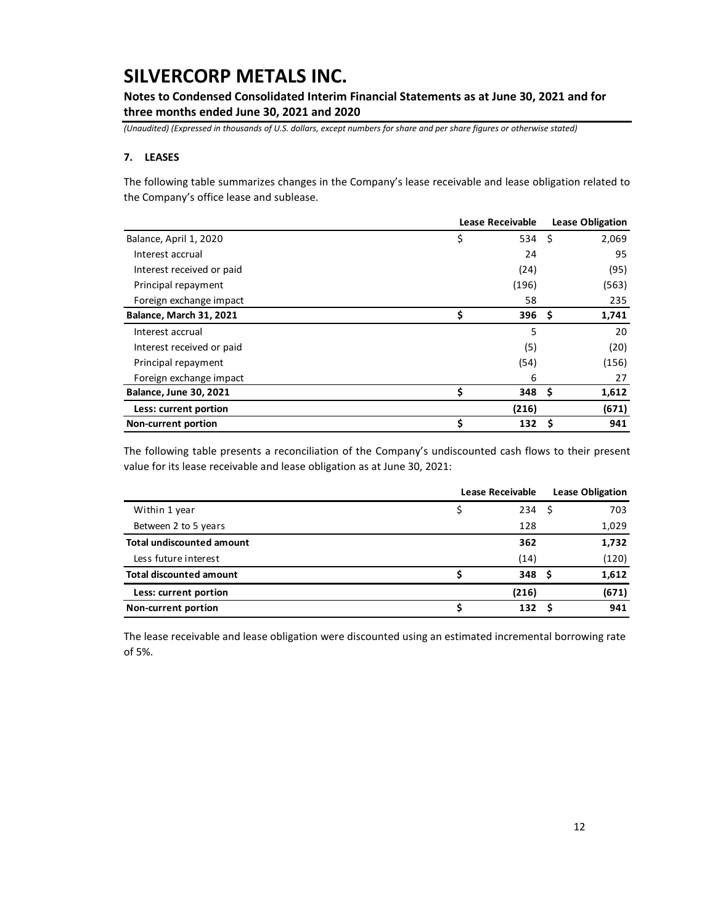**Notes to Condensed Consolidated Interim Financial Statements as at June 30, 2021 and for three months ended June 30, 2021 and 2020**

*(Unaudited) (Expressed in thousands of U.S. dollars, except numbers for share and per share figures or otherwise stated)*

### **7. LEASES**

The following table summarizes changes in the Company's lease receivable and lease obligation related to the Company's office lease and sublease.

|                                | Lease Receivable | <b>Lease Obligation</b> |    |       |
|--------------------------------|------------------|-------------------------|----|-------|
| Balance, April 1, 2020         | \$               | 534 \$                  |    | 2,069 |
| Interest accrual               |                  | 24                      |    | 95    |
| Interest received or paid      |                  | (24)                    |    | (95)  |
| Principal repayment            |                  | (196)                   |    | (563) |
| Foreign exchange impact        |                  | 58                      |    | 235   |
| <b>Balance, March 31, 2021</b> | \$               | 396                     | S  | 1,741 |
| Interest accrual               |                  | 5                       |    | 20    |
| Interest received or paid      |                  | (5)                     |    | (20)  |
| Principal repayment            |                  | (54)                    |    | (156) |
| Foreign exchange impact        |                  | 6                       |    | 27    |
| <b>Balance, June 30, 2021</b>  | \$               | 348                     | -S | 1,612 |
| Less: current portion          |                  | (216)                   |    | (671) |
| <b>Non-current portion</b>     | Ś                | 132                     | S  | 941   |

The following table presents a reconciliation of the Company's undiscounted cash flows to their present value for its lease receivable and lease obligation as at June 30, 2021:

|                                  | <b>Lease Receivable</b> | <b>Lease Obligation</b> |  |       |
|----------------------------------|-------------------------|-------------------------|--|-------|
| Within 1 year                    |                         | 234                     |  | 703   |
| Between 2 to 5 years             |                         | 128                     |  | 1,029 |
| <b>Total undiscounted amount</b> |                         | 362                     |  | 1,732 |
| Less future interest             |                         | (14)                    |  | (120) |
| <b>Total discounted amount</b>   |                         | 348 <sup>5</sup>        |  | 1,612 |
| Less: current portion            |                         | (216)                   |  | (671) |
| Non-current portion              |                         | 132                     |  | 941   |

The lease receivable and lease obligation were discounted using an estimated incremental borrowing rate of 5%.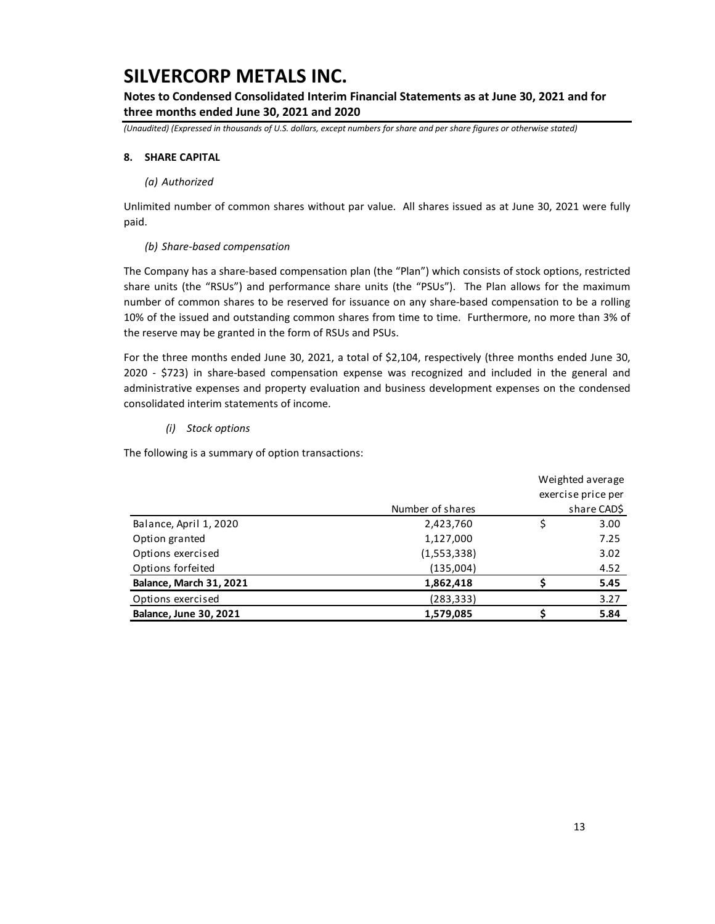## **Notes to Condensed Consolidated Interim Financial Statements as at June 30, 2021 and for three months ended June 30, 2021 and 2020**

*(Unaudited) (Expressed in thousands of U.S. dollars, except numbers for share and per share figures or otherwise stated)*

### **8. SHARE CAPITAL**

#### *(a) Authorized*

Unlimited number of common shares without par value. All shares issued as at June 30, 2021 were fully paid.

### *(b) Share-based compensation*

The Company has a share-based compensation plan (the "Plan") which consists of stock options, restricted share units (the "RSUs") and performance share units (the "PSUs"). The Plan allows for the maximum number of common shares to be reserved for issuance on any share-based compensation to be a rolling 10% of the issued and outstanding common shares from time to time. Furthermore, no more than 3% of the reserve may be granted in the form of RSUs and PSUs.

For the three months ended June 30, 2021, a total of \$2,104, respectively (three months ended June 30, 2020 - \$723) in share-based compensation expense was recognized and included in the general and administrative expenses and property evaluation and business development expenses on the condensed consolidated interim statements of income.

### *(i) Stock options*

The following is a summary of option transactions:

|                               |                  | Weighted average   |
|-------------------------------|------------------|--------------------|
|                               |                  | exercise price per |
|                               | Number of shares | share CAD\$        |
| Balance, April 1, 2020        | 2,423,760        | \$<br>3.00         |
| Option granted                | 1,127,000        | 7.25               |
| Options exercised             | (1,553,338)      | 3.02               |
| Options forfeited             | (135,004)        | 4.52               |
| Balance, March 31, 2021       | 1,862,418        | 5.45               |
| Options exercised             | (283, 333)       | 3.27               |
| <b>Balance, June 30, 2021</b> | 1,579,085        | 5.84               |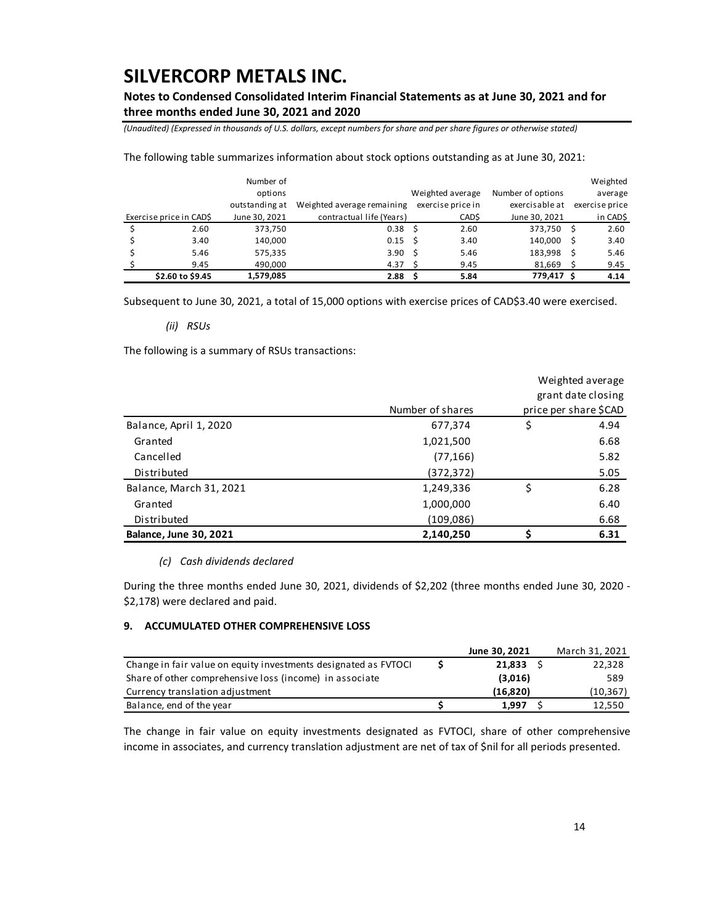## **Notes to Condensed Consolidated Interim Financial Statements as at June 30, 2021 and for three months ended June 30, 2021 and 2020**

*(Unaudited) (Expressed in thousands of U.S. dollars, except numbers for share and per share figures or otherwise stated)*

The following table summarizes information about stock options outstanding as at June 30, 2021:

|                        | Number of      |                            |    |                   |                   |   | Weighted       |
|------------------------|----------------|----------------------------|----|-------------------|-------------------|---|----------------|
|                        | options        |                            |    | Weighted average  | Number of options |   | average        |
|                        | outstanding at | Weighted average remaining |    | exercise price in | exercisable at    |   | exercise price |
| Exercise price in CADS | June 30, 2021  | contractual life (Years)   |    | CAD\$             | June 30, 2021     |   | in CAD\$       |
| 2.60                   | 373.750        | 0.38 <sup>5</sup>          |    | 2.60              | 373,750           | S | 2.60           |
| 3.40                   | 140,000        | $0.15 \quad$ \$            |    | 3.40              | 140,000           |   | 3.40           |
| 5.46                   | 575,335        | 3.90                       | .s | 5.46              | 183,998           |   | 5.46           |
| 9.45                   | 490,000        | 4.37                       |    | 9.45              | 81,669            |   | 9.45           |
| \$2.60 to \$9.45       | 1,579,085      | 2.88                       |    | 5.84              | 779,417           | S | 4.14           |

Subsequent to June 30, 2021, a total of 15,000 options with exercise prices of CAD\$3.40 were exercised.

*(ii) RSUs*

The following is a summary of RSUs transactions:

|                               |                  | Weighted average     |  |
|-------------------------------|------------------|----------------------|--|
|                               |                  | grant date closing   |  |
|                               | Number of shares | price per share SCAD |  |
| Balance, April 1, 2020        | 677,374          | \$<br>4.94           |  |
| Granted                       | 1,021,500        | 6.68                 |  |
| Cancelled                     | (77, 166)        | 5.82                 |  |
| Distributed                   | (372, 372)       | 5.05                 |  |
| Balance, March 31, 2021       | 1,249,336        | \$<br>6.28           |  |
| Granted                       | 1,000,000        | 6.40                 |  |
| Distributed                   | (109,086)        | 6.68                 |  |
| <b>Balance, June 30, 2021</b> | 2,140,250        | 6.31                 |  |

#### *(c) Cash dividends declared*

During the three months ended June 30, 2021, dividends of \$2,202 (three months ended June 30, 2020 - \$2,178) were declared and paid.

### **9. ACCUMULATED OTHER COMPREHENSIVE LOSS**

|                                                                 | June 30, 2021 | March 31, 2021 |
|-----------------------------------------------------------------|---------------|----------------|
| Change in fair value on equity investments designated as FVTOCI | 21.833        | 22,328         |
| Share of other comprehensive loss (income) in associate         | (3,016)       | 589            |
| Currency translation adjustment                                 | (16.820)      | (10, 367)      |
| Balance, end of the year                                        | 1.997         | 12.550         |

The change in fair value on equity investments designated as FVTOCI, share of other comprehensive income in associates, and currency translation adjustment are net of tax of \$nil for all periods presented.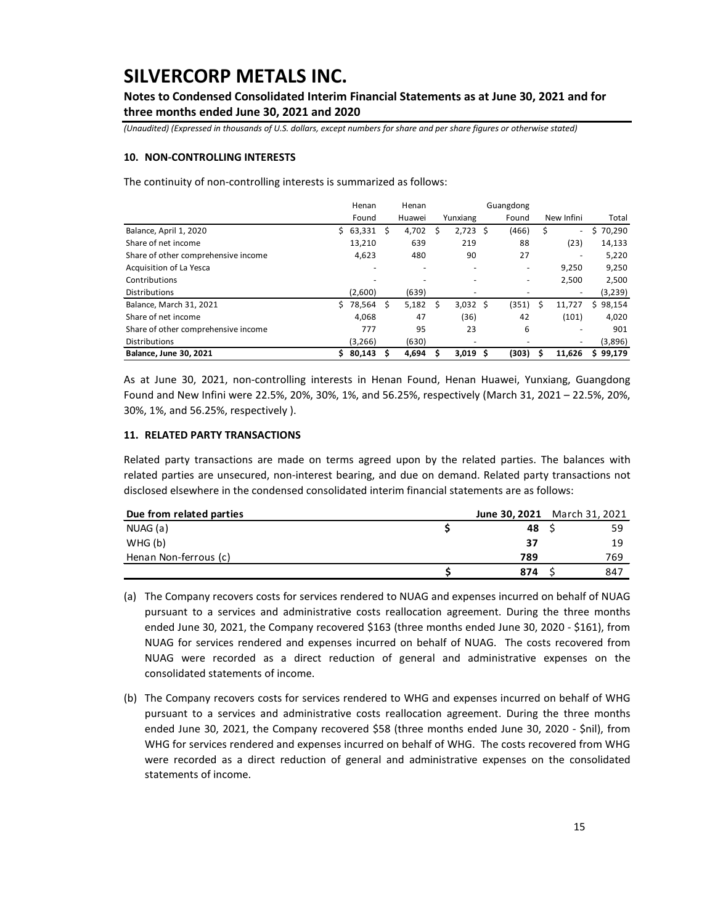## **Notes to Condensed Consolidated Interim Financial Statements as at June 30, 2021 and for three months ended June 30, 2021 and 2020**

*(Unaudited) (Expressed in thousands of U.S. dollars, except numbers for share and per share figures or otherwise stated)*

#### **10. NON-CONTROLLING INTERESTS**

The continuity of non-controlling interests is summarized as follows:

|                                     |    | Henan    |    | Henan  |   |                          |    | Guangdong |    |            |              |
|-------------------------------------|----|----------|----|--------|---|--------------------------|----|-----------|----|------------|--------------|
|                                     |    | Found    |    | Huawei |   | Yunxiang                 |    | Found     |    | New Infini | Total        |
| Balance, April 1, 2020              | S. | 63,331   | -S | 4,702  | S | 2,723                    | -Ś | (466)     | \$ | ٠          | 70,290       |
| Share of net income                 |    | 13,210   |    | 639    |   | 219                      |    | 88        |    | (23)       | 14,133       |
| Share of other comprehensive income |    | 4,623    |    | 480    |   | 90                       |    | 27        |    | ٠          | 5,220        |
| Acquisition of La Yesca             |    |          |    | ٠      |   | ۰                        |    |           |    | 9.250      | 9,250        |
| Contributions                       |    |          |    |        |   |                          |    |           |    | 2,500      | 2,500        |
| <b>Distributions</b>                |    | (2,600)  |    | (639)  |   | $\overline{\phantom{a}}$ |    |           |    | -          | (3,239)      |
| Balance, March 31, 2021             | Ś. | 78,564   | S  | 5,182  | S | $3,032$ \$               |    | (351)     | Ŝ  | 11.727     | 98,154<br>Ś. |
| Share of net income                 |    | 4,068    |    | 47     |   | (36)                     |    | 42        |    | (101)      | 4,020        |
| Share of other comprehensive income |    | 777      |    | 95     |   | 23                       |    | 6         |    | ۰          | 901          |
| <b>Distributions</b>                |    | (3, 266) |    | (630)  |   | $\overline{\phantom{a}}$ |    |           |    | ۰          | (3,896)      |
| <b>Balance, June 30, 2021</b>       | S. | 80,143   |    | 4,694  |   | 3,019                    | Ŝ  | (303)     | S  | 11.626     | \$99,179     |

As at June 30, 2021, non-controlling interests in Henan Found, Henan Huawei, Yunxiang, Guangdong Found and New Infini were 22.5%, 20%, 30%, 1%, and 56.25%, respectively (March 31, 2021 – 22.5%, 20%, 30%, 1%, and 56.25%, respectively ).

#### **11. RELATED PARTY TRANSACTIONS**

Related party transactions are made on terms agreed upon by the related parties. The balances with related parties are unsecured, non-interest bearing, and due on demand. Related party transactions not disclosed elsewhere in the condensed consolidated interim financial statements are as follows:

| Due from related parties | June 30, 2021 March 31, 2021 |     |
|--------------------------|------------------------------|-----|
| NUAG (a)                 | 48 P                         | 59  |
| WHG(b)                   | 37                           | 19  |
| Henan Non-ferrous (c)    | 789                          | 769 |
|                          | 874                          | 847 |

(a) The Company recovers costs for services rendered to NUAG and expenses incurred on behalf of NUAG pursuant to a services and administrative costs reallocation agreement. During the three months ended June 30, 2021, the Company recovered \$163 (three months ended June 30, 2020 - \$161), from NUAG for services rendered and expenses incurred on behalf of NUAG. The costs recovered from NUAG were recorded as a direct reduction of general and administrative expenses on the consolidated statements of income.

(b) The Company recovers costs for services rendered to WHG and expenses incurred on behalf of WHG pursuant to a services and administrative costs reallocation agreement. During the three months ended June 30, 2021, the Company recovered \$58 (three months ended June 30, 2020 - \$nil), from WHG for services rendered and expenses incurred on behalf of WHG. The costs recovered from WHG were recorded as a direct reduction of general and administrative expenses on the consolidated statements of income.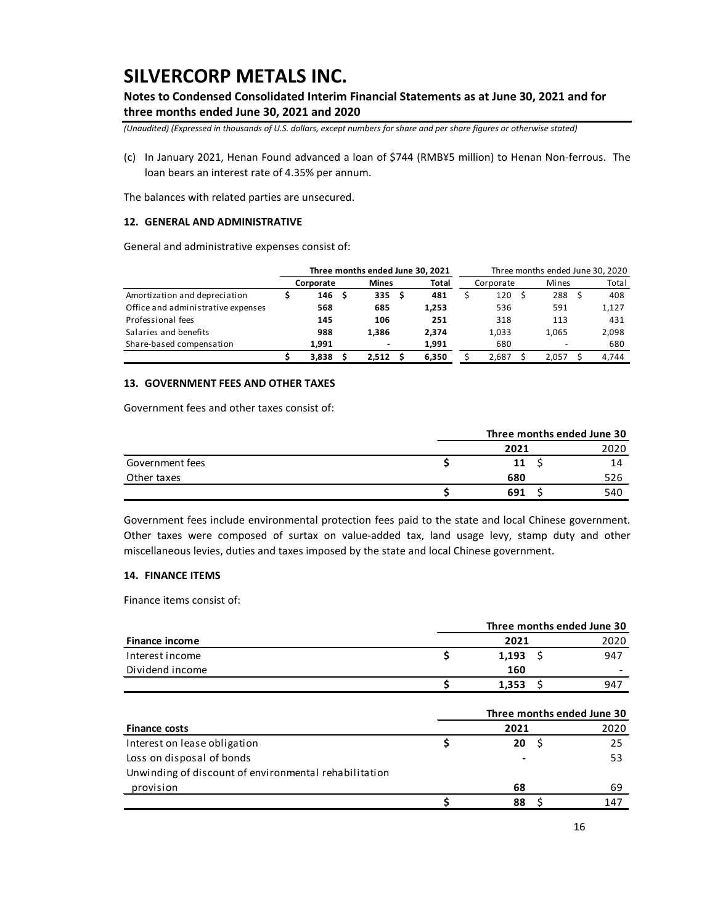## **Notes to Condensed Consolidated Interim Financial Statements as at June 30, 2021 and for three months ended June 30, 2021 and 2020**

*(Unaudited) (Expressed in thousands of U.S. dollars, except numbers for share and per share figures or otherwise stated)*

(c) In January 2021, Henan Found advanced a loan of \$744 (RMB¥5 million) to Henan Non-ferrous. The loan bears an interest rate of 4.35% per annum.

The balances with related parties are unsecured.

#### **12. GENERAL AND ADMINISTRATIVE**

General and administrative expenses consist of:

|                                    |           | Three months ended June 30, 2021 |       | Three months ended June 30, 2020 |           |  |       |       |       |
|------------------------------------|-----------|----------------------------------|-------|----------------------------------|-----------|--|-------|-------|-------|
|                                    | Corporate | <b>Mines</b>                     | Total |                                  | Corporate |  | Mines | Total |       |
| Amortization and depreciation      | 146       | 335 <sub>5</sub>                 | 481   |                                  | 120       |  | 288   |       | 408   |
| Office and administrative expenses | 568       | 685                              | 1,253 |                                  | 536       |  | 591   |       | 1,127 |
| Professional fees                  | 145       | 106                              | 251   |                                  | 318       |  | 113   |       | 431   |
| Salaries and benefits              | 988       | 1.386                            | 2.374 |                                  | 1.033     |  | 1.065 |       | 2,098 |
| Share-based compensation           | 1.991     | -                                | 1,991 |                                  | 680       |  |       |       | 680   |
|                                    | 3.838     | 2.512                            | 6.350 |                                  | 2.687     |  | 2.057 |       | 4.744 |

### **13. GOVERNMENT FEES AND OTHER TAXES**

Government fees and other taxes consist of:

|                 | Three months ended June 30 |  |      |  |
|-----------------|----------------------------|--|------|--|
|                 | 2021                       |  | 2020 |  |
| Government fees | 11                         |  | 14   |  |
| Other taxes     | 680                        |  | 526  |  |
|                 | 691                        |  | 540  |  |

Government fees include environmental protection fees paid to the state and local Chinese government. Other taxes were composed of surtax on value-added tax, land usage levy, stamp duty and other miscellaneous levies, duties and taxes imposed by the state and local Chinese government.

#### **14. FINANCE ITEMS**

Finance items consist of:

|                       |       | Three months ended June 30 |
|-----------------------|-------|----------------------------|
| <b>Finance income</b> | 2021  | 2020                       |
| Interest income       | 1.193 | 947                        |
| Dividend income       | 160   |                            |
|                       | 1,353 | 947                        |

|      | Three months ended June 30 |
|------|----------------------------|
| 2021 | 2020                       |
| 20   | 25                         |
|      | 53                         |
|      |                            |
| 68   | 69                         |
| 88   | 147                        |
|      |                            |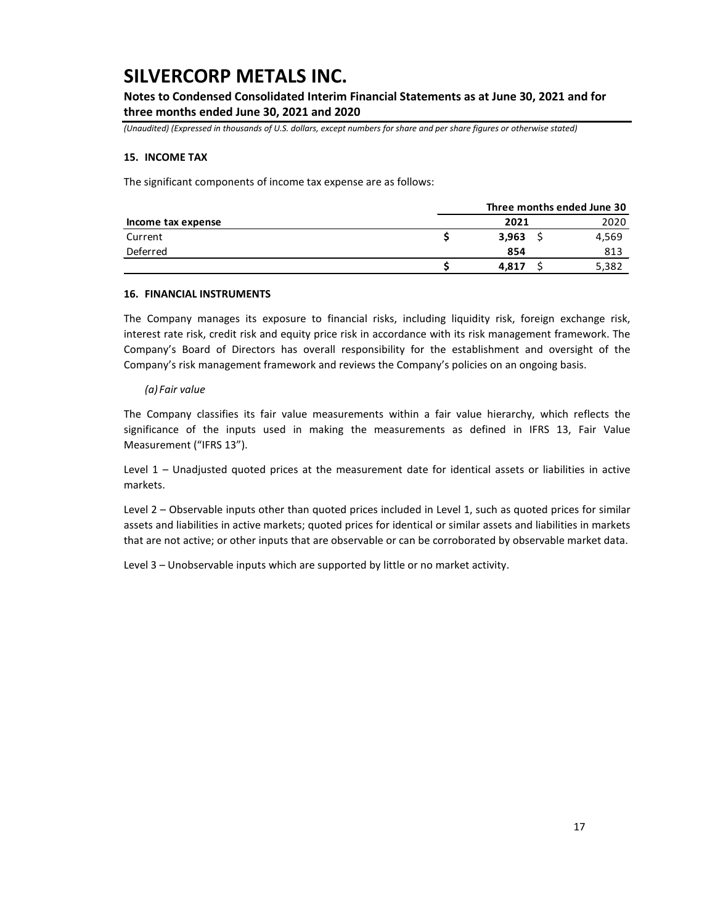**Notes to Condensed Consolidated Interim Financial Statements as at June 30, 2021 and for three months ended June 30, 2021 and 2020**

*(Unaudited) (Expressed in thousands of U.S. dollars, except numbers for share and per share figures or otherwise stated)*

#### **15. INCOME TAX**

The significant components of income tax expense are as follows:

|                    |       | Three months ended June 30 |
|--------------------|-------|----------------------------|
| Income tax expense | 2021  | 2020                       |
| Current            | 3,963 | 4,569                      |
| Deferred           | 854   | 813                        |
|                    | 4.817 | 5,382                      |

#### **16. FINANCIAL INSTRUMENTS**

The Company manages its exposure to financial risks, including liquidity risk, foreign exchange risk, interest rate risk, credit risk and equity price risk in accordance with its risk management framework. The Company's Board of Directors has overall responsibility for the establishment and oversight of the Company's risk management framework and reviews the Company's policies on an ongoing basis.

### *(a) Fair value*

The Company classifies its fair value measurements within a fair value hierarchy, which reflects the significance of the inputs used in making the measurements as defined in IFRS 13, Fair Value Measurement ("IFRS 13").

Level 1 – Unadjusted quoted prices at the measurement date for identical assets or liabilities in active markets.

Level 2 – Observable inputs other than quoted prices included in Level 1, such as quoted prices for similar assets and liabilities in active markets; quoted prices for identical or similar assets and liabilities in markets that are not active; or other inputs that are observable or can be corroborated by observable market data.

Level 3 – Unobservable inputs which are supported by little or no market activity.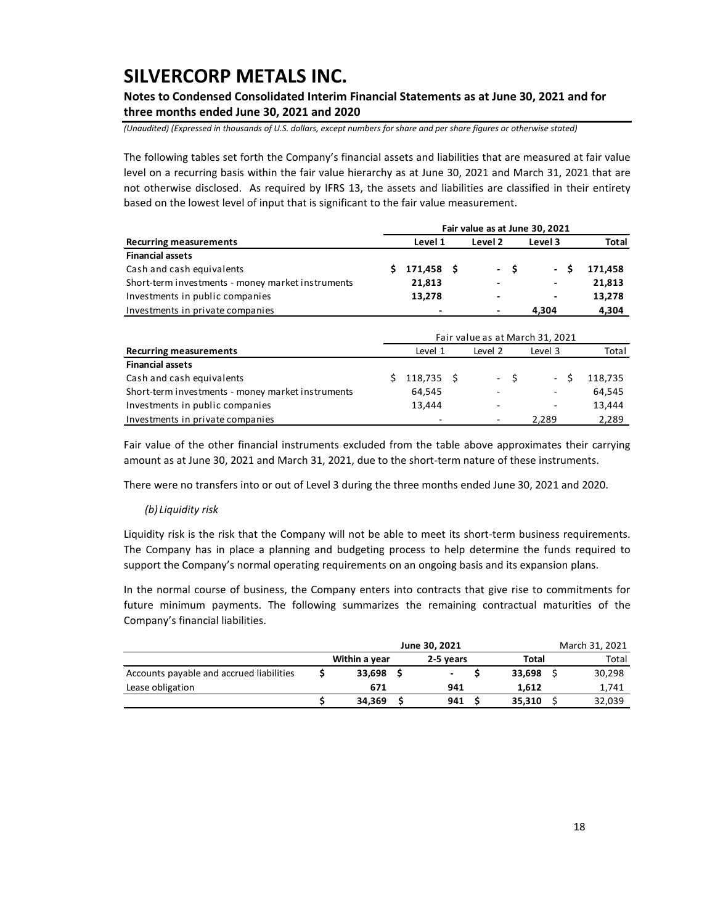## **Notes to Condensed Consolidated Interim Financial Statements as at June 30, 2021 and for three months ended June 30, 2021 and 2020**

*(Unaudited) (Expressed in thousands of U.S. dollars, except numbers for share and per share figures or otherwise stated)*

The following tables set forth the Company's financial assets and liabilities that are measured at fair value level on a recurring basis within the fair value hierarchy as at June 30, 2021 and March 31, 2021 that are not otherwise disclosed. As required by IFRS 13, the assets and liabilities are classified in their entirety based on the lowest level of input that is significant to the fair value measurement.

|                                                   |    |              |         |      | Fair value as at June 30, 2021  |         |
|---------------------------------------------------|----|--------------|---------|------|---------------------------------|---------|
| <b>Recurring measurements</b>                     |    | Level 1      | Level 2 |      | Level 3                         | Total   |
| <b>Financial assets</b>                           |    |              |         |      |                                 |         |
| Cash and cash equivalents                         | Ś. | 171,458 \$   |         | - \$ | - \$                            | 171,458 |
| Short-term investments - money market instruments |    | 21,813       |         |      |                                 | 21,813  |
| Investments in public companies                   |    | 13,278       | ٠       |      |                                 | 13,278  |
| Investments in private companies                  |    |              |         |      | 4,304                           | 4,304   |
|                                                   |    |              |         |      |                                 |         |
|                                                   |    |              |         |      | Fair value as at March 31, 2021 |         |
| <b>Recurring measurements</b>                     |    | Level 1      | Level 2 |      | Level 3                         | Total   |
| <b>Financial assets</b>                           |    |              |         |      |                                 |         |
| Cash and cash equivalents                         | Ś  | $118,735$ \$ |         | - \$ | - \$                            | 118,735 |
| Short-term investments - money market instruments |    | 64,545       |         |      |                                 | 64,545  |
| Investments in public companies                   |    | 13,444       |         |      |                                 | 13,444  |
| Investments in private companies                  |    |              |         |      | 2.289                           | 2,289   |

Fair value of the other financial instruments excluded from the table above approximates their carrying amount as at June 30, 2021 and March 31, 2021, due to the short-term nature of these instruments.

There were no transfers into or out of Level 3 during the three months ended June 30, 2021 and 2020.

#### *(b) Liquidity risk*

Liquidity risk is the risk that the Company will not be able to meet its short-term business requirements. The Company has in place a planning and budgeting process to help determine the funds required to support the Company's normal operating requirements on an ongoing basis and its expansion plans.

In the normal course of business, the Company enters into contracts that give rise to commitments for future minimum payments. The following summarizes the remaining contractual maturities of the Company's financial liabilities.

|                                          |               | June 30, 2021 |        | March 31, 2021 |
|------------------------------------------|---------------|---------------|--------|----------------|
|                                          | Within a year | 2-5 years     | Total  | Total          |
| Accounts payable and accrued liabilities | 33.698        | ٠             | 33.698 | 30,298         |
| Lease obligation                         | 671           | 941           | 1.612  | 1,741          |
|                                          | 34.369        | 941           | 35.310 | 32,039         |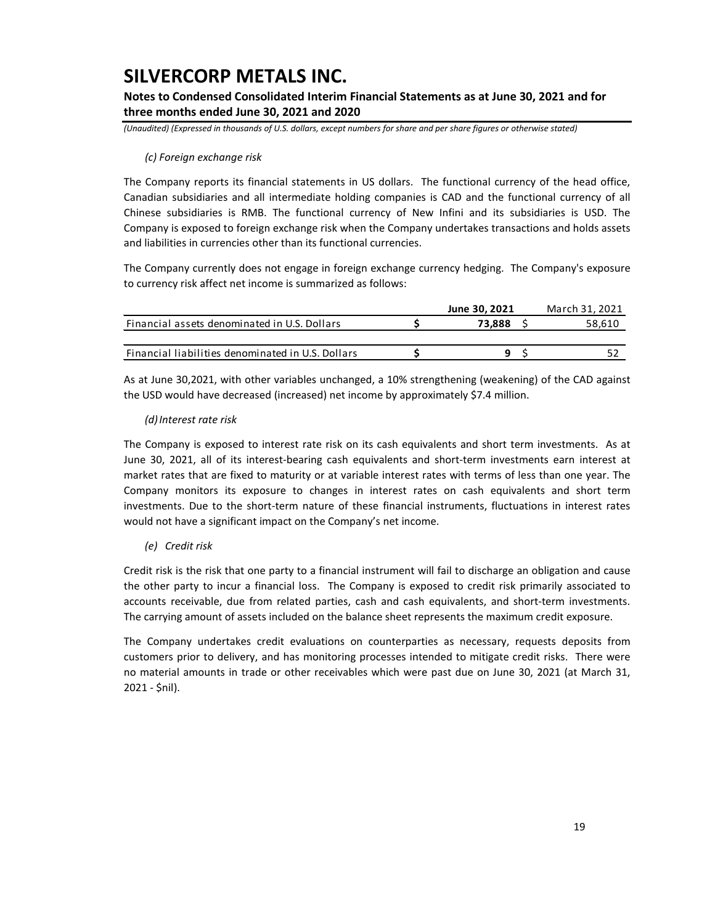## **Notes to Condensed Consolidated Interim Financial Statements as at June 30, 2021 and for three months ended June 30, 2021 and 2020**

*(Unaudited) (Expressed in thousands of U.S. dollars, except numbers for share and per share figures or otherwise stated)*

### *(c) Foreign exchange risk*

The Company reports its financial statements in US dollars. The functional currency of the head office, Canadian subsidiaries and all intermediate holding companies is CAD and the functional currency of all Chinese subsidiaries is RMB. The functional currency of New Infini and its subsidiaries is USD. The Company is exposed to foreign exchange risk when the Company undertakes transactions and holds assets and liabilities in currencies other than its functional currencies.

The Company currently does not engage in foreign exchange currency hedging. The Company's exposure to currency risk affect net income is summarized as follows:

|                                                   | June 30, 2021 | March 31, 2021 |
|---------------------------------------------------|---------------|----------------|
| Financial assets denominated in U.S. Dollars      | 73.888        | 58,610         |
|                                                   |               |                |
| Financial liabilities denominated in U.S. Dollars |               |                |

As at June 30,2021, with other variables unchanged, a 10% strengthening (weakening) of the CAD against the USD would have decreased (increased) net income by approximately \$7.4 million.

### *(d)Interest rate risk*

The Company is exposed to interest rate risk on its cash equivalents and short term investments. As at June 30, 2021, all of its interest-bearing cash equivalents and short-term investments earn interest at market rates that are fixed to maturity or at variable interest rates with terms of less than one year. The Company monitors its exposure to changes in interest rates on cash equivalents and short term investments. Due to the short-term nature of these financial instruments, fluctuations in interest rates would not have a significant impact on the Company's net income.

### *(e) Credit risk*

Credit risk is the risk that one party to a financial instrument will fail to discharge an obligation and cause the other party to incur a financial loss. The Company is exposed to credit risk primarily associated to accounts receivable, due from related parties, cash and cash equivalents, and short-term investments. The carrying amount of assets included on the balance sheet represents the maximum credit exposure.

The Company undertakes credit evaluations on counterparties as necessary, requests deposits from customers prior to delivery, and has monitoring processes intended to mitigate credit risks. There were no material amounts in trade or other receivables which were past due on June 30, 2021 (at March 31, 2021 - \$nil).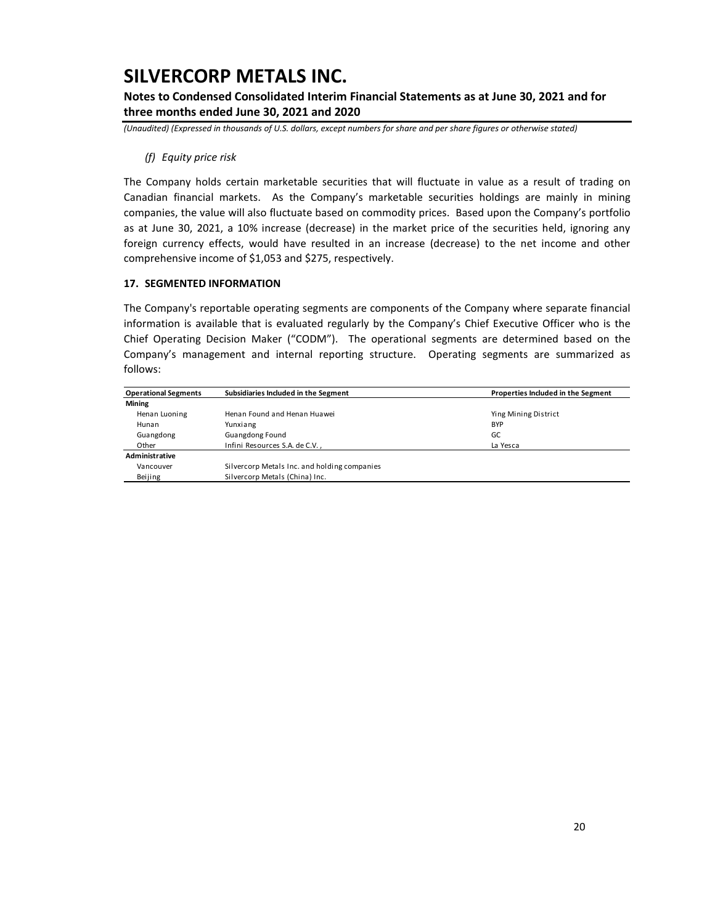**Notes to Condensed Consolidated Interim Financial Statements as at June 30, 2021 and for three months ended June 30, 2021 and 2020**

*(Unaudited) (Expressed in thousands of U.S. dollars, except numbers for share and per share figures or otherwise stated)*

### *(f) Equity price risk*

The Company holds certain marketable securities that will fluctuate in value as a result of trading on Canadian financial markets. As the Company's marketable securities holdings are mainly in mining companies, the value will also fluctuate based on commodity prices. Based upon the Company's portfolio as at June 30, 2021, a 10% increase (decrease) in the market price of the securities held, ignoring any foreign currency effects, would have resulted in an increase (decrease) to the net income and other comprehensive income of \$1,053 and \$275, respectively.

### **17. SEGMENTED INFORMATION**

The Company's reportable operating segments are components of the Company where separate financial information is available that is evaluated regularly by the Company's Chief Executive Officer who is the Chief Operating Decision Maker ("CODM"). The operational segments are determined based on the Company's management and internal reporting structure. Operating segments are summarized as follows:

| <b>Operational Segments</b> | Subsidiaries Included in the Segment         | Properties Included in the Segment |
|-----------------------------|----------------------------------------------|------------------------------------|
| Mining                      |                                              |                                    |
| Henan Luoning               | Henan Found and Henan Huawei                 | Ying Mining District               |
| Hunan                       | Yunxiang                                     | <b>BYP</b>                         |
| Guangdong                   | Guangdong Found                              | GC                                 |
| Other                       | Infini Resources S.A. de C.V.,               | La Yesca                           |
| Administrative              |                                              |                                    |
| Vancouver                   | Silvercorp Metals Inc. and holding companies |                                    |
| Beijing                     | Silvercorp Metals (China) Inc.               |                                    |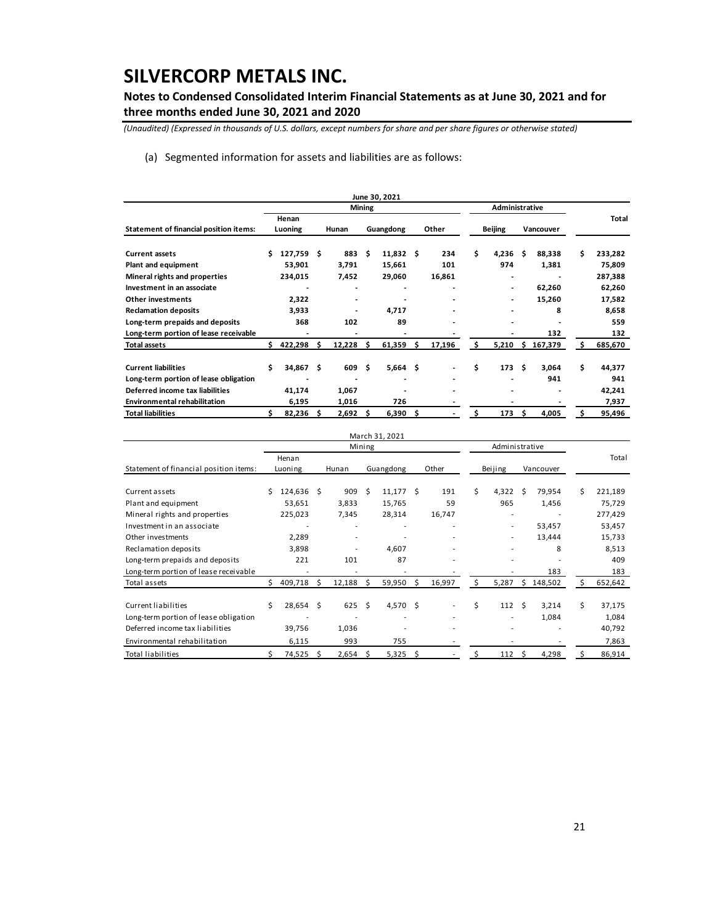## **Notes to Condensed Consolidated Interim Financial Statements as at June 30, 2021 and for three months ended June 30, 2021 and 2020**

*(Unaudited) (Expressed in thousands of U.S. dollars, except numbers for share and per share figures or otherwise stated)*

(a) Segmented information for assets and liabilities are as follows:

|                                        |     |                  |   |                          |               | June 30, 2021  |     |                          |     |                |    |           |    |         |
|----------------------------------------|-----|------------------|---|--------------------------|---------------|----------------|-----|--------------------------|-----|----------------|----|-----------|----|---------|
|                                        |     |                  |   |                          | <b>Mining</b> |                |     | Administrative           |     |                |    |           |    |         |
| Statement of financial position items: |     | Henan<br>Luoning |   | Hunan                    |               | Guangdong      |     | Other                    |     | <b>Beijing</b> |    | Vancouver |    | Total   |
| <b>Current assets</b>                  | Ś   | 127,759 \$       |   | 883                      | Ŝ             | 11,832         | S   | 234                      | \$  | 4,236          | Ŝ  | 88,338    | Ś  | 233,282 |
| Plant and equipment                    |     | 53,901           |   | 3,791                    |               | 15,661         |     | 101                      |     | 974            |    | 1,381     |    | 75,809  |
| Mineral rights and properties          |     | 234,015          |   | 7,452                    |               | 29,060         |     | 16,861                   |     |                |    |           |    | 287,388 |
| Investment in an associate             |     |                  |   |                          |               |                |     |                          |     |                |    | 62,260    |    | 62,260  |
| <b>Other investments</b>               |     | 2,322            |   | $\overline{\phantom{0}}$ |               |                |     |                          |     |                |    | 15,260    |    | 17,582  |
| <b>Reclamation deposits</b>            |     | 3,933            |   |                          |               | 4.717          |     |                          |     |                |    | 8         |    | 8,658   |
| Long-term prepaids and deposits        |     | 368              |   | 102                      |               | 89             |     |                          |     |                |    |           |    | 559     |
| Long-term portion of lease receivable  |     |                  |   |                          |               |                |     |                          |     |                |    | 132       |    | 132     |
| <b>Total assets</b>                    | \$. | 422,298          | Ŝ | 12,228                   | \$.           | 61,359         | \$. | 17,196                   | \$. | 5,210          | s. | 167,379   | Ś  | 685,670 |
| <b>Current liabilities</b>             | Ś.  | 34,867 \$        |   | 609 S                    |               | $5,664$ \$     |     | $\overline{\phantom{0}}$ | Ś   | 173            | Ŝ  | 3,064     | Ś  | 44,377  |
| Long-term portion of lease obligation  |     |                  |   |                          |               | $\blacksquare$ |     |                          |     |                |    | 941       |    | 941     |
| Deferred income tax liabilities        |     | 41,174           |   | 1,067                    |               |                |     |                          |     |                |    |           |    | 42,241  |
| <b>Environmental rehabilitation</b>    |     | 6,195            |   | 1,016                    |               | 726            |     |                          |     |                |    |           |    | 7,937   |
| <b>Total liabilities</b>               |     | 82,236           | S | 2,692                    | Ŝ             | 6,390          | Ŝ.  | $\blacksquare$           | Ś.  | 173            | S  | 4,005     | \$ | 95,496  |

|                                        |    |             |     |                          |        | March 31, 2021 |    |        |    |                |      |           |    |         |
|----------------------------------------|----|-------------|-----|--------------------------|--------|----------------|----|--------|----|----------------|------|-----------|----|---------|
|                                        |    |             |     |                          | Mining |                |    |        |    | Administrative |      |           |    |         |
|                                        |    | Henan       |     |                          |        |                |    |        |    |                |      |           |    | Total   |
| Statement of financial position items: |    | Luoning     |     | Hunan                    |        | Guangdong      |    | Other  |    | Beijing        |      | Vancouver |    |         |
|                                        |    |             |     |                          |        |                |    |        |    |                |      |           |    |         |
| Current assets                         | Ś  | 124,636 \$  |     | 909                      | Ś      | 11.177         | Ŝ  | 191    | Ś. | 4.322          | - \$ | 79,954    | Ś  | 221,189 |
| Plant and equipment                    |    | 53,651      |     | 3,833                    |        | 15,765         |    | 59     |    | 965            |      | 1,456     |    | 75,729  |
| Mineral rights and properties          |    | 225,023     |     | 7,345                    |        | 28,314         |    | 16,747 |    |                |      |           |    | 277,429 |
| Investment in an associate             |    |             |     | $\overline{\phantom{a}}$ |        |                |    |        |    | $\sim$         |      | 53,457    |    | 53,457  |
| Other investments                      |    | 2,289       |     |                          |        |                |    |        |    |                |      | 13,444    |    | 15,733  |
| Reclamation deposits                   |    | 3,898       |     |                          |        | 4,607          |    |        |    | ۰              |      | 8         |    | 8,513   |
| Long-term prepaids and deposits        |    | 221         |     | 101                      |        | 87             |    |        |    |                |      |           |    | 409     |
| Long-term portion of lease receivable  |    |             |     |                          |        |                |    |        |    |                |      | 183       |    | 183     |
| Total assets                           | Ŝ. | 409,718     | S   | 12,188                   | S      | 59,950         | Ŝ. | 16,997 | s  | 5,287          | S.   | 148,502   |    | 652,642 |
| Current liabilities                    | Ś  | $28,654$ \$ |     | 625S                     |        | 4,570 \$       |    |        | Ś. | 112            | - \$ | 3,214     | \$ | 37,175  |
| Long-term portion of lease obligation  |    |             |     |                          |        |                |    |        |    |                |      | 1,084     |    | 1,084   |
| Deferred income tax liabilities        |    | 39,756      |     | 1,036                    |        |                |    |        |    |                |      |           |    | 40,792  |
| Environmental rehabilitation           |    | 6,115       |     | 993                      |        | 755            |    |        |    |                |      |           |    | 7,863   |
| <b>Total liabilities</b>               |    | 74,525      | - S | 2,654                    | S      | 5,325          | Ŝ. |        |    | 112            | -Ś   | 4,298     |    | 86,914  |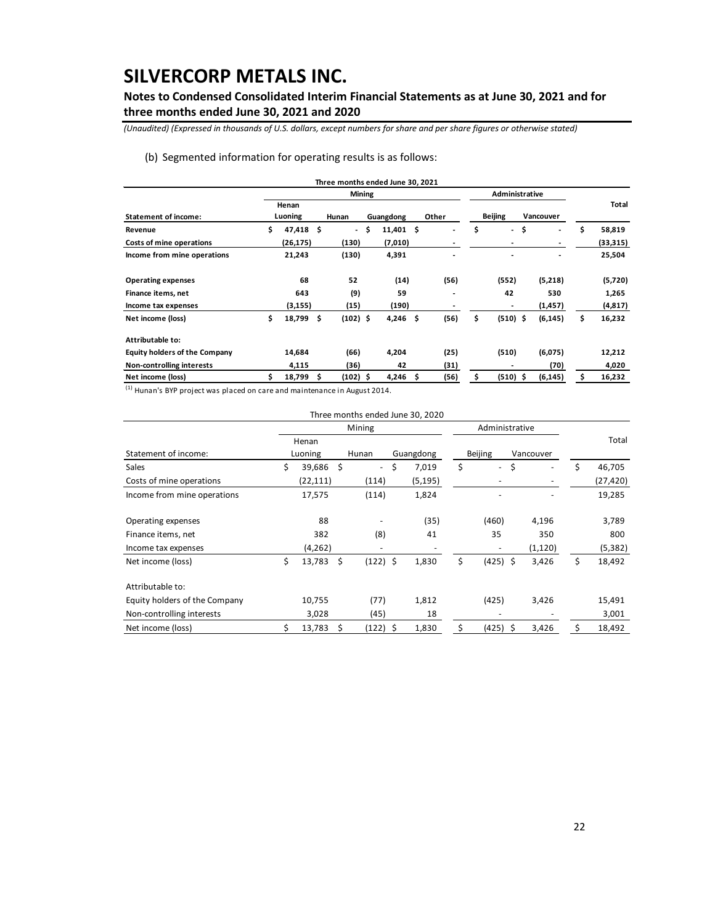## **Notes to Condensed Consolidated Interim Financial Statements as at June 30, 2021 and for three months ended June 30, 2021 and 2020**

*(Unaudited) (Expressed in thousands of U.S. dollars, except numbers for share and per share figures or otherwise stated)*

### (b) Segmented information for operating results is as follows:

|                                      |              |     | Three months ended June 30, 2021 |              |     |                          |                                |                                |    |          |
|--------------------------------------|--------------|-----|----------------------------------|--------------|-----|--------------------------|--------------------------------|--------------------------------|----|----------|
|                                      |              |     | Mining                           |              |     |                          | Administrative                 |                                |    |          |
|                                      | Henan        |     |                                  |              |     |                          |                                |                                |    | Total    |
| <b>Statement of income:</b>          | Luoning      |     | Hunan                            | Guangdong    |     | Other                    | <b>Beijing</b>                 | Vancouver                      |    |          |
| Revenue                              | \$<br>47,418 | \$. | $\overline{\phantom{a}}$         | \$<br>11,401 | \$. | $\overline{\phantom{a}}$ | \$<br>$\overline{\phantom{0}}$ | \$<br>$\overline{\phantom{a}}$ | \$ | 58,819   |
| Costs of mine operations             | (26, 175)    |     | (130)                            | (7,010)      |     |                          |                                |                                |    | (33,315) |
| Income from mine operations          | 21,243       |     | (130)                            | 4,391        |     |                          |                                |                                |    | 25,504   |
| <b>Operating expenses</b>            | 68           |     | 52                               | (14)         |     | (56)                     | (552)                          | (5,218)                        |    | (5,720)  |
| Finance items, net                   | 643          |     | (9)                              | 59           |     |                          | 42                             | 530                            |    | 1,265    |
| Income tax expenses                  | (3, 155)     |     | (15)                             | (190)        |     |                          | $\qquad \qquad \blacksquare$   | (1, 457)                       |    | (4, 817) |
| Net income (loss)                    | \$<br>18,799 | -\$ | $(102)$ \$                       | 4,246        | \$  | (56)                     | \$<br>$(510)$ \$               | (6, 145)                       | \$ | 16,232   |
| Attributable to:                     |              |     |                                  |              |     |                          |                                |                                |    |          |
| <b>Equity holders of the Company</b> | 14,684       |     | (66)                             | 4,204        |     | (25)                     | (510)                          | (6,075)                        |    | 12,212   |
| Non-controlling interests            | 4,115        |     | (36)                             | 42           |     | (31)                     | $\blacksquare$                 | (70)                           |    | 4,020    |
| Net income (loss)                    | 18,799       | -S  | $(102)$ \$                       | 4,246        | -\$ | (56)                     | \$<br>$(510)$ \$               | (6, 145)                       | S  | 16,232   |

 $<sup>(1)</sup>$  Hunan's BYP project was placed on care and maintenance in August 2014.</sup>

|                               |    |           |     | Three months ended June 30, 2020 |             |                                |    |           |    |           |
|-------------------------------|----|-----------|-----|----------------------------------|-------------|--------------------------------|----|-----------|----|-----------|
|                               |    |           |     | Mining                           |             | Administrative                 |    |           |    |           |
|                               |    | Henan     |     |                                  |             |                                |    |           |    | Total     |
| Statement of income:          |    | Luoning   |     | Hunan                            | Guangdong   | <b>Beijing</b>                 |    | Vancouver |    |           |
| <b>Sales</b>                  | \$ | 39,686    | \$  | ÷.                               | \$<br>7,019 | \$<br>$\overline{\phantom{a}}$ | \$ |           |    | 46,705    |
| Costs of mine operations      |    | (22, 111) |     | (114)                            | (5, 195)    |                                |    |           |    | (27, 420) |
| Income from mine operations   |    | 17,575    |     | (114)                            | 1,824       |                                |    |           |    | 19,285    |
| Operating expenses            |    | 88        |     |                                  | (35)        | (460)                          |    | 4,196     |    | 3,789     |
| Finance items, net            |    | 382       |     | (8)                              | 41          | 35                             |    | 350       |    | 800       |
| Income tax expenses           |    | (4, 262)  |     | ۰                                |             | $\overline{\phantom{a}}$       |    | (1, 120)  |    | (5, 382)  |
| Net income (loss)             | \$ | 13,783    | -\$ | $(122)$ \$                       | 1,830       | \$<br>$(425)$ \$               |    | 3,426     | \$ | 18,492    |
| Attributable to:              |    |           |     |                                  |             |                                |    |           |    |           |
| Equity holders of the Company |    | 10,755    |     | (77)                             | 1,812       | (425)                          |    | 3,426     |    | 15,491    |
| Non-controlling interests     |    | 3,028     |     | (45)                             | 18          | -                              |    |           |    | 3,001     |
| Net income (loss)             | Ś  | 13,783    | \$  | (122) \$                         | 1,830       | \$<br>(425)                    | S  | 3,426     | Ś. | 18,492    |